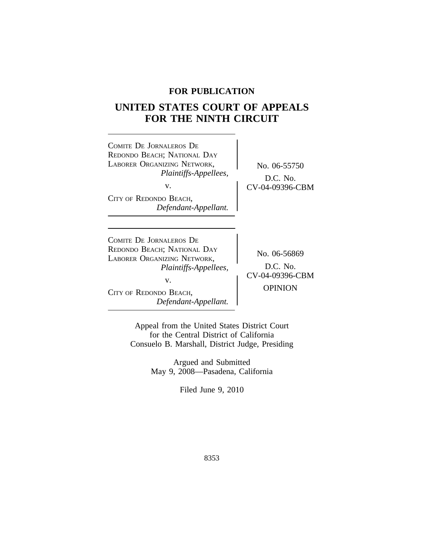# **FOR PUBLICATION**

# **UNITED STATES COURT OF APPEALS FOR THE NINTH CIRCUIT**

| COMITE DE JORNALEROS DE<br>REDONDO BEACH; NATIONAL DAY<br>LABORER ORGANIZING NETWORK,<br>Plaintiffs-Appellees,<br>V.<br>CITY OF REDONDO BEACH,<br>Defendant-Appellant.        | No. 06-55750<br>$D.C.$ No.<br>CV-04-09396-CBM                   |
|-------------------------------------------------------------------------------------------------------------------------------------------------------------------------------|-----------------------------------------------------------------|
| COMITE DE JORNALEROS DE<br>REDONDO BEACH; NATIONAL DAY<br>LABORER ORGANIZING NETWORK,<br><i>Plaintiffs-Appellees,</i><br>V.<br>CITY OF REDONDO BEACH,<br>Defendant-Appellant. | No. 06-56869<br>$D.C.$ No.<br>CV-04-09396-CBM<br><b>OPINION</b> |

Appeal from the United States District Court for the Central District of California Consuelo B. Marshall, District Judge, Presiding

> Argued and Submitted May 9, 2008—Pasadena, California

> > Filed June 9, 2010

8353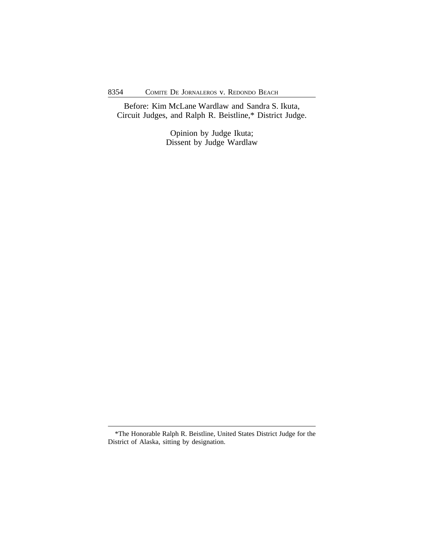Before: Kim McLane Wardlaw and Sandra S. Ikuta, Circuit Judges, and Ralph R. Beistline,\* District Judge.

> Opinion by Judge Ikuta; Dissent by Judge Wardlaw

<sup>\*</sup>The Honorable Ralph R. Beistline, United States District Judge for the District of Alaska, sitting by designation.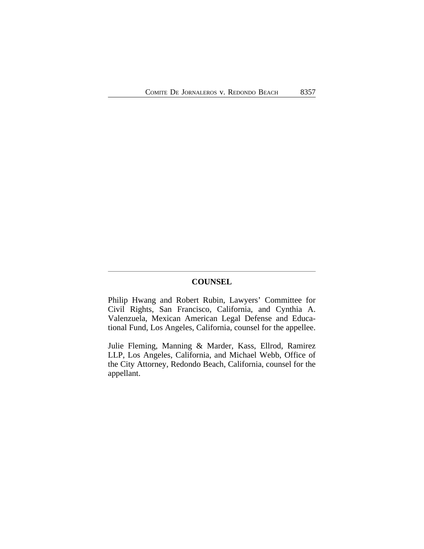# **COUNSEL**

Philip Hwang and Robert Rubin, Lawyers' Committee for Civil Rights, San Francisco, California, and Cynthia A. Valenzuela, Mexican American Legal Defense and Educational Fund, Los Angeles, California, counsel for the appellee.

Julie Fleming, Manning & Marder, Kass, Ellrod, Ramirez LLP, Los Angeles, California, and Michael Webb, Office of the City Attorney, Redondo Beach, California, counsel for the appellant.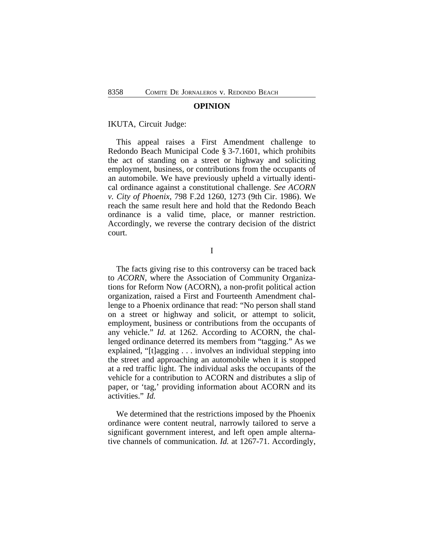#### **OPINION**

IKUTA, Circuit Judge:

This appeal raises a First Amendment challenge to Redondo Beach Municipal Code § 3-7.1601, which prohibits the act of standing on a street or highway and soliciting employment, business, or contributions from the occupants of an automobile. We have previously upheld a virtually identical ordinance against a constitutional challenge. *See ACORN v. City of Phoenix*, 798 F.2d 1260, 1273 (9th Cir. 1986). We reach the same result here and hold that the Redondo Beach ordinance is a valid time, place, or manner restriction. Accordingly, we reverse the contrary decision of the district court.

I

The facts giving rise to this controversy can be traced back to *ACORN*, where the Association of Community Organizations for Reform Now (ACORN), a non-profit political action organization, raised a First and Fourteenth Amendment challenge to a Phoenix ordinance that read: "No person shall stand on a street or highway and solicit, or attempt to solicit, employment, business or contributions from the occupants of any vehicle." *Id.* at 1262. According to ACORN, the challenged ordinance deterred its members from "tagging." As we explained, "[t]agging . . . involves an individual stepping into the street and approaching an automobile when it is stopped at a red traffic light. The individual asks the occupants of the vehicle for a contribution to ACORN and distributes a slip of paper, or 'tag,' providing information about ACORN and its activities." *Id.*

We determined that the restrictions imposed by the Phoenix ordinance were content neutral, narrowly tailored to serve a significant government interest, and left open ample alternative channels of communication. *Id.* at 1267-71. Accordingly,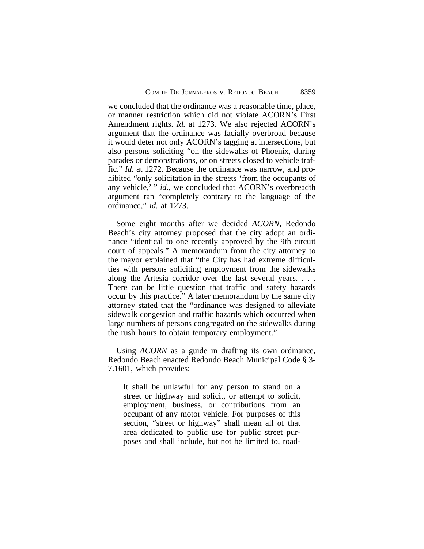we concluded that the ordinance was a reasonable time, place, or manner restriction which did not violate ACORN's First Amendment rights. *Id.* at 1273. We also rejected ACORN's argument that the ordinance was facially overbroad because it would deter not only ACORN's tagging at intersections, but also persons soliciting "on the sidewalks of Phoenix, during parades or demonstrations, or on streets closed to vehicle traffic." *Id.* at 1272. Because the ordinance was narrow, and prohibited "only solicitation in the streets 'from the occupants of any vehicle,' " *id.*, we concluded that ACORN's overbreadth argument ran "completely contrary to the language of the ordinance," *id.* at 1273.

Some eight months after we decided *ACORN*, Redondo Beach's city attorney proposed that the city adopt an ordinance "identical to one recently approved by the 9th circuit court of appeals." A memorandum from the city attorney to the mayor explained that "the City has had extreme difficulties with persons soliciting employment from the sidewalks along the Artesia corridor over the last several years. . . . There can be little question that traffic and safety hazards occur by this practice." A later memorandum by the same city attorney stated that the "ordinance was designed to alleviate sidewalk congestion and traffic hazards which occurred when large numbers of persons congregated on the sidewalks during the rush hours to obtain temporary employment."

Using *ACORN* as a guide in drafting its own ordinance, Redondo Beach enacted Redondo Beach Municipal Code § 3- 7.1601, which provides:

It shall be unlawful for any person to stand on a street or highway and solicit, or attempt to solicit, employment, business, or contributions from an occupant of any motor vehicle. For purposes of this section, "street or highway" shall mean all of that area dedicated to public use for public street purposes and shall include, but not be limited to, road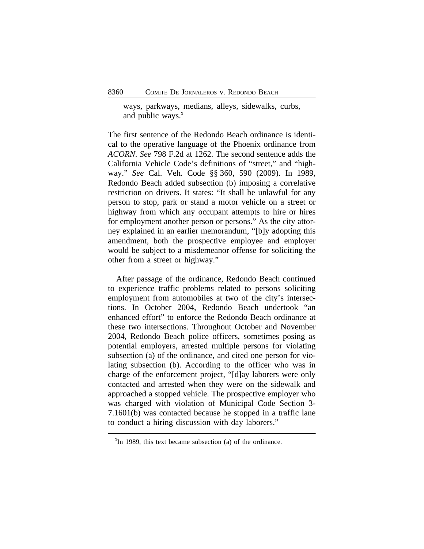ways, parkways, medians, alleys, sidewalks, curbs, and public ways.**<sup>1</sup>**

The first sentence of the Redondo Beach ordinance is identical to the operative language of the Phoenix ordinance from *ACORN*. *See* 798 F.2d at 1262. The second sentence adds the California Vehicle Code's definitions of "street," and "highway." *See* Cal. Veh. Code §§ 360, 590 (2009). In 1989, Redondo Beach added subsection (b) imposing a correlative restriction on drivers. It states: "It shall be unlawful for any person to stop, park or stand a motor vehicle on a street or highway from which any occupant attempts to hire or hires for employment another person or persons." As the city attorney explained in an earlier memorandum, "[b]y adopting this amendment, both the prospective employee and employer would be subject to a misdemeanor offense for soliciting the other from a street or highway."

After passage of the ordinance, Redondo Beach continued to experience traffic problems related to persons soliciting employment from automobiles at two of the city's intersections. In October 2004, Redondo Beach undertook "an enhanced effort" to enforce the Redondo Beach ordinance at these two intersections. Throughout October and November 2004, Redondo Beach police officers, sometimes posing as potential employers, arrested multiple persons for violating subsection (a) of the ordinance, and cited one person for violating subsection (b). According to the officer who was in charge of the enforcement project, "[d]ay laborers were only contacted and arrested when they were on the sidewalk and approached a stopped vehicle. The prospective employer who was charged with violation of Municipal Code Section 3- 7.1601(b) was contacted because he stopped in a traffic lane to conduct a hiring discussion with day laborers."

<sup>&</sup>lt;sup>1</sup>In 1989, this text became subsection (a) of the ordinance.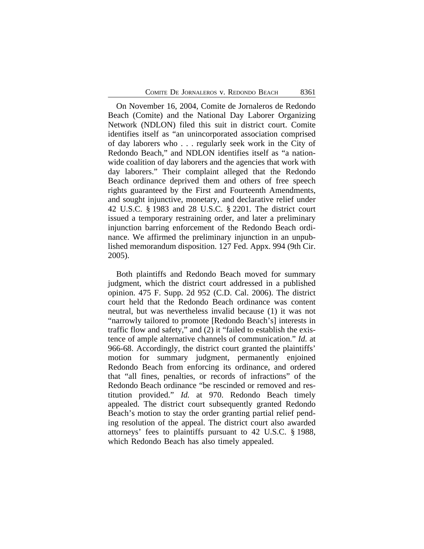On November 16, 2004, Comite de Jornaleros de Redondo Beach (Comite) and the National Day Laborer Organizing Network (NDLON) filed this suit in district court. Comite identifies itself as "an unincorporated association comprised of day laborers who . . . regularly seek work in the City of Redondo Beach," and NDLON identifies itself as "a nationwide coalition of day laborers and the agencies that work with day laborers." Their complaint alleged that the Redondo Beach ordinance deprived them and others of free speech rights guaranteed by the First and Fourteenth Amendments, and sought injunctive, monetary, and declarative relief under 42 U.S.C. § 1983 and 28 U.S.C. § 2201. The district court issued a temporary restraining order, and later a preliminary injunction barring enforcement of the Redondo Beach ordinance. We affirmed the preliminary injunction in an unpublished memorandum disposition. 127 Fed. Appx. 994 (9th Cir. 2005).

Both plaintiffs and Redondo Beach moved for summary judgment, which the district court addressed in a published opinion. 475 F. Supp. 2d 952 (C.D. Cal. 2006). The district court held that the Redondo Beach ordinance was content neutral, but was nevertheless invalid because (1) it was not "narrowly tailored to promote [Redondo Beach's] interests in traffic flow and safety," and (2) it "failed to establish the existence of ample alternative channels of communication." *Id.* at 966-68. Accordingly, the district court granted the plaintiffs' motion for summary judgment, permanently enjoined Redondo Beach from enforcing its ordinance, and ordered that "all fines, penalties, or records of infractions" of the Redondo Beach ordinance "be rescinded or removed and restitution provided." *Id.* at 970. Redondo Beach timely appealed. The district court subsequently granted Redondo Beach's motion to stay the order granting partial relief pending resolution of the appeal. The district court also awarded attorneys' fees to plaintiffs pursuant to 42 U.S.C. § 1988, which Redondo Beach has also timely appealed.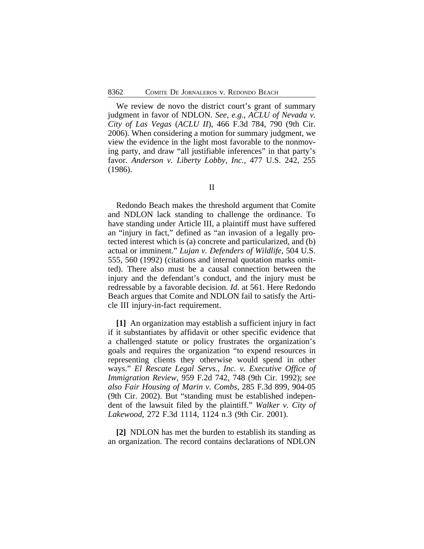We review de novo the district court's grant of summary judgment in favor of NDLON. *See*, *e.g.*, *ACLU of Nevada v. City of Las Vegas* (*ACLU II*), 466 F.3d 784, 790 (9th Cir. 2006). When considering a motion for summary judgment, we view the evidence in the light most favorable to the nonmoving party, and draw "all justifiable inferences" in that party's favor. *Anderson v. Liberty Lobby, Inc.*, 477 U.S. 242, 255 (1986).

Redondo Beach makes the threshold argument that Comite and NDLON lack standing to challenge the ordinance. To have standing under Article III, a plaintiff must have suffered an "injury in fact," defined as "an invasion of a legally protected interest which is (a) concrete and particularized, and (b) actual or imminent." *Lujan v. Defenders of Wildlife*, 504 U.S. 555, 560 (1992) (citations and internal quotation marks omitted). There also must be a causal connection between the injury and the defendant's conduct, and the injury must be redressable by a favorable decision. *Id*. at 561. Here Redondo Beach argues that Comite and NDLON fail to satisfy the Article III injury-in-fact requirement.

**[1]** An organization may establish a sufficient injury in fact if it substantiates by affidavit or other specific evidence that a challenged statute or policy frustrates the organization's goals and requires the organization "to expend resources in representing clients they otherwise would spend in other ways." *El Rescate Legal Servs., Inc. v. Executive Office of Immigration Review*, 959 F.2d 742, 748 (9th Cir. 1992); *see also Fair Housing of Marin v. Combs*, 285 F.3d 899, 904-05 (9th Cir. 2002). But "standing must be established independent of the lawsuit filed by the plaintiff." *Walker v. City of Lakewood*, 272 F.3d 1114, 1124 n.3 (9th Cir. 2001).

**[2]** NDLON has met the burden to establish its standing as an organization. The record contains declarations of NDLON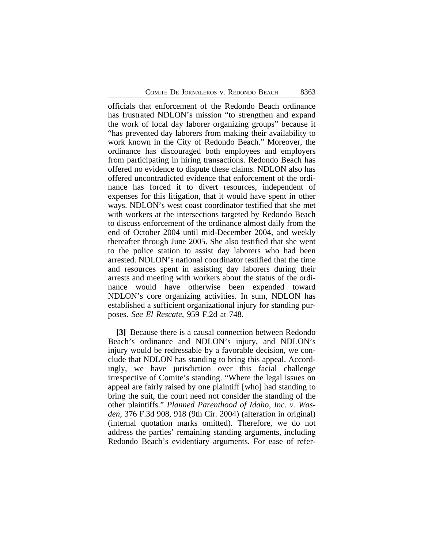officials that enforcement of the Redondo Beach ordinance has frustrated NDLON's mission "to strengthen and expand the work of local day laborer organizing groups" because it "has prevented day laborers from making their availability to work known in the City of Redondo Beach." Moreover, the ordinance has discouraged both employees and employers from participating in hiring transactions. Redondo Beach has offered no evidence to dispute these claims. NDLON also has offered uncontradicted evidence that enforcement of the ordinance has forced it to divert resources, independent of expenses for this litigation, that it would have spent in other ways. NDLON's west coast coordinator testified that she met with workers at the intersections targeted by Redondo Beach to discuss enforcement of the ordinance almost daily from the end of October 2004 until mid-December 2004, and weekly thereafter through June 2005. She also testified that she went to the police station to assist day laborers who had been arrested. NDLON's national coordinator testified that the time and resources spent in assisting day laborers during their arrests and meeting with workers about the status of the ordinance would have otherwise been expended toward NDLON's core organizing activities. In sum, NDLON has established a sufficient organizational injury for standing purposes. *See El Rescate*, 959 F.2d at 748.

**[3]** Because there is a causal connection between Redondo Beach's ordinance and NDLON's injury, and NDLON's injury would be redressable by a favorable decision, we conclude that NDLON has standing to bring this appeal. Accordingly, we have jurisdiction over this facial challenge irrespective of Comite's standing. "Where the legal issues on appeal are fairly raised by one plaintiff [who] had standing to bring the suit, the court need not consider the standing of the other plaintiffs." *Planned Parenthood of Idaho, Inc. v. Wasden*, 376 F.3d 908, 918 (9th Cir. 2004) (alteration in original) (internal quotation marks omitted). Therefore, we do not address the parties' remaining standing arguments, including Redondo Beach's evidentiary arguments. For ease of refer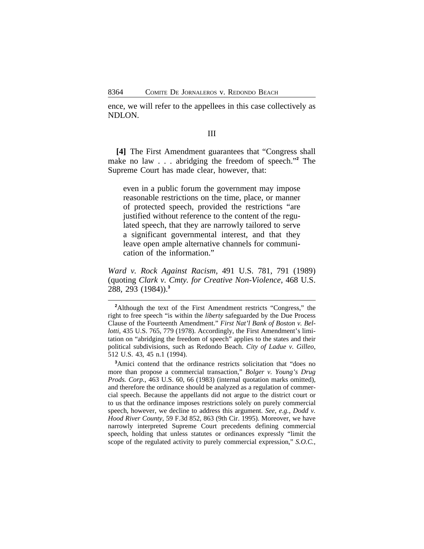ence, we will refer to the appellees in this case collectively as NDLON.

### III

**[4]** The First Amendment guarantees that "Congress shall make no law . . . abridging the freedom of speech."<sup>2</sup> The Supreme Court has made clear, however, that:

even in a public forum the government may impose reasonable restrictions on the time, place, or manner of protected speech, provided the restrictions "are justified without reference to the content of the regulated speech, that they are narrowly tailored to serve a significant governmental interest, and that they leave open ample alternative channels for communication of the information."

*Ward v. Rock Against Racism,* 491 U.S. 781, 791 (1989) (quoting *Clark v. Cmty. for Creative Non-Violence*, 468 U.S. 288, 293 (1984)).**<sup>3</sup>**

<sup>3</sup>Amici contend that the ordinance restricts solicitation that "does no more than propose a commercial transaction," *Bolger v. Young's Drug Prods. Corp.*, 463 U.S. 60, 66 (1983) (internal quotation marks omitted), and therefore the ordinance should be analyzed as a regulation of commercial speech. Because the appellants did not argue to the district court or to us that the ordinance imposes restrictions solely on purely commercial speech, however, we decline to address this argument. *See*, *e.g.*, *Dodd v. Hood River County*, 59 F.3d 852, 863 (9th Cir. 1995). Moreover, we have narrowly interpreted Supreme Court precedents defining commercial speech, holding that unless statutes or ordinances expressly "limit the scope of the regulated activity to purely commercial expression," *S.O.C.,*

<sup>&</sup>lt;sup>2</sup>Although the text of the First Amendment restricts "Congress," the right to free speech "is within the *liberty* safeguarded by the Due Process Clause of the Fourteenth Amendment." *First Nat'l Bank of Boston v. Bellotti*, 435 U.S. 765, 779 (1978). Accordingly, the First Amendment's limitation on "abridging the freedom of speech" applies to the states and their political subdivisions, such as Redondo Beach. *City of Ladue v. Gilleo*, 512 U.S. 43, 45 n.1 (1994).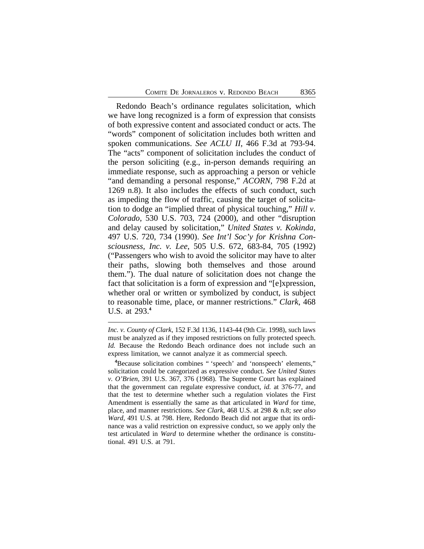Redondo Beach's ordinance regulates solicitation, which we have long recognized is a form of expression that consists of both expressive content and associated conduct or acts. The "words" component of solicitation includes both written and spoken communications. *See ACLU II*, 466 F.3d at 793-94. The "acts" component of solicitation includes the conduct of the person soliciting (e.g., in-person demands requiring an immediate response, such as approaching a person or vehicle "and demanding a personal response," *ACORN*, 798 F.2d at 1269 n.8). It also includes the effects of such conduct, such as impeding the flow of traffic, causing the target of solicitation to dodge an "implied threat of physical touching," *Hill v. Colorado*, 530 U.S. 703, 724 (2000), and other "disruption and delay caused by solicitation," *United States v. Kokinda*, 497 U.S. 720, 734 (1990). *See Int'l Soc'y for Krishna Consciousness, Inc. v. Lee*, 505 U.S. 672, 683-84, 705 (1992) ("Passengers who wish to avoid the solicitor may have to alter their paths, slowing both themselves and those around them."). The dual nature of solicitation does not change the fact that solicitation is a form of expression and "[e]xpression, whether oral or written or symbolized by conduct, is subject to reasonable time, place, or manner restrictions." *Clark*, 468 U.S. at 293.**<sup>4</sup>**

*Inc. v. County of Clark*, 152 F.3d 1136, 1143-44 (9th Cir. 1998), such laws must be analyzed as if they imposed restrictions on fully protected speech. *Id.* Because the Redondo Beach ordinance does not include such an express limitation, we cannot analyze it as commercial speech.

**<sup>4</sup>**Because solicitation combines " 'speech' and 'nonspeech' elements," solicitation could be categorized as expressive conduct. *See United States v. O'Brien*, 391 U.S. 367, 376 (1968). The Supreme Court has explained that the government can regulate expressive conduct, *id.* at 376-77, and that the test to determine whether such a regulation violates the First Amendment is essentially the same as that articulated in *Ward* for time, place, and manner restrictions. *See Clark*, 468 U.S. at 298 & n.8; *see also Ward,* 491 U.S. at 798. Here, Redondo Beach did not argue that its ordinance was a valid restriction on expressive conduct, so we apply only the test articulated in *Ward* to determine whether the ordinance is constitutional. 491 U.S. at 791.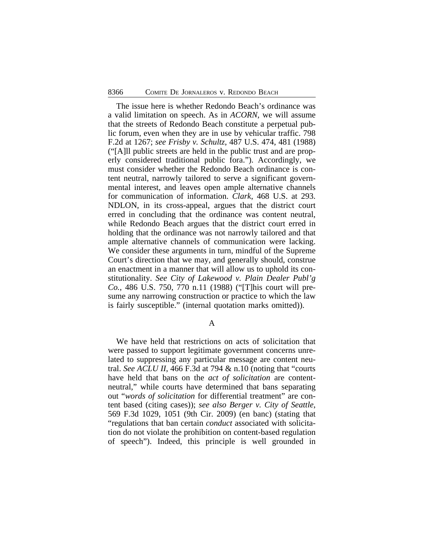The issue here is whether Redondo Beach's ordinance was a valid limitation on speech. As in *ACORN*, we will assume that the streets of Redondo Beach constitute a perpetual public forum, even when they are in use by vehicular traffic. 798 F.2d at 1267; *see Frisby v. Schultz*, 487 U.S. 474, 481 (1988) ("[A]ll public streets are held in the public trust and are properly considered traditional public fora."). Accordingly, we must consider whether the Redondo Beach ordinance is content neutral, narrowly tailored to serve a significant governmental interest, and leaves open ample alternative channels for communication of information. *Clark*, 468 U.S. at 293. NDLON, in its cross-appeal, argues that the district court erred in concluding that the ordinance was content neutral, while Redondo Beach argues that the district court erred in holding that the ordinance was not narrowly tailored and that ample alternative channels of communication were lacking. We consider these arguments in turn, mindful of the Supreme Court's direction that we may, and generally should, construe an enactment in a manner that will allow us to uphold its constitutionality. *See City of Lakewood v. Plain Dealer Publ'g Co.*, 486 U.S. 750, 770 n.11 (1988) ("[T]his court will presume any narrowing construction or practice to which the law is fairly susceptible." (internal quotation marks omitted)).

A

We have held that restrictions on acts of solicitation that were passed to support legitimate government concerns unrelated to suppressing any particular message are content neutral. *See ACLU II*, 466 F.3d at 794 & n.10 (noting that "courts have held that bans on the *act of solicitation* are contentneutral," while courts have determined that bans separating out "*words of solicitation* for differential treatment" are content based (citing cases)); *see also Berger v. City of Seattle*, 569 F.3d 1029, 1051 (9th Cir. 2009) (en banc) (stating that "regulations that ban certain *conduct* associated with solicitation do not violate the prohibition on content-based regulation of speech"). Indeed, this principle is well grounded in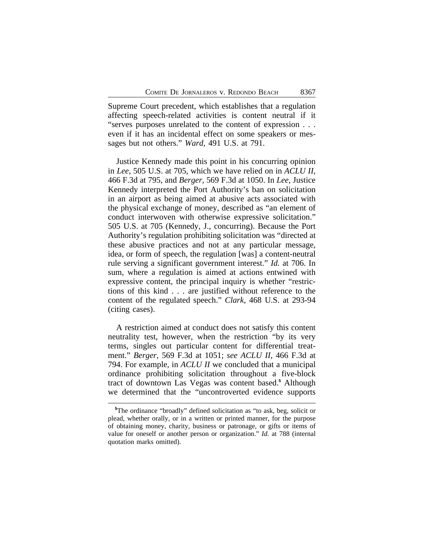Supreme Court precedent, which establishes that a regulation affecting speech-related activities is content neutral if it "serves purposes unrelated to the content of expression . . . even if it has an incidental effect on some speakers or messages but not others." *Ward*, 491 U.S. at 791.

Justice Kennedy made this point in his concurring opinion in *Lee*, 505 U.S. at 705, which we have relied on in *ACLU II*, 466 F.3d at 795, and *Berger*, 569 F.3d at 1050. In *Lee*, Justice Kennedy interpreted the Port Authority's ban on solicitation in an airport as being aimed at abusive acts associated with the physical exchange of money, described as "an element of conduct interwoven with otherwise expressive solicitation." 505 U.S. at 705 (Kennedy, J., concurring). Because the Port Authority's regulation prohibiting solicitation was "directed at these abusive practices and not at any particular message, idea, or form of speech, the regulation [was] a content-neutral rule serving a significant government interest." *Id.* at 706. In sum, where a regulation is aimed at actions entwined with expressive content, the principal inquiry is whether "restrictions of this kind . . . are justified without reference to the content of the regulated speech." *Clark*, 468 U.S. at 293-94 (citing cases).

A restriction aimed at conduct does not satisfy this content neutrality test, however, when the restriction "by its very terms, singles out particular content for differential treatment." *Berger*, 569 F.3d at 1051; *see ACLU II*, 466 F.3d at 794. For example, in *ACLU II* we concluded that a municipal ordinance prohibiting solicitation throughout a five-block tract of downtown Las Vegas was content based.**<sup>5</sup>** Although we determined that the "uncontroverted evidence supports

**<sup>5</sup>**The ordinance "broadly" defined solicitation as "to ask, beg, solicit or plead, whether orally, or in a written or printed manner, for the purpose of obtaining money, charity, business or patronage, or gifts or items of value for oneself or another person or organization." *Id.* at 788 (internal quotation marks omitted).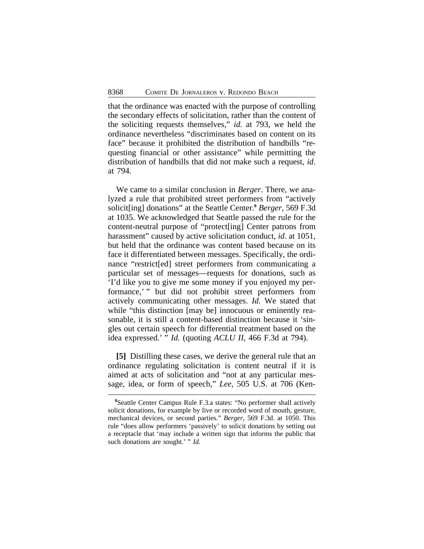that the ordinance was enacted with the purpose of controlling the secondary effects of solicitation, rather than the content of the soliciting requests themselves," *id.* at 793, we held the ordinance nevertheless "discriminates based on content on its face" because it prohibited the distribution of handbills "requesting financial or other assistance" while permitting the distribution of handbills that did not make such a request, *id*. at 794.

We came to a similar conclusion in *Berger*. There, we analyzed a rule that prohibited street performers from "actively solicit[ing] donations" at the Seattle Center.**<sup>6</sup>** *Berger*, 569 F.3d at 1035. We acknowledged that Seattle passed the rule for the content-neutral purpose of "protect[ing] Center patrons from harassment" caused by active solicitation conduct, *id*. at 1051, but held that the ordinance was content based because on its face it differentiated between messages. Specifically, the ordinance "restrict[ed] street performers from communicating a particular set of messages—requests for donations, such as 'I'd like you to give me some money if you enjoyed my performance,' " but did not prohibit street performers from actively communicating other messages. *Id.* We stated that while "this distinction [may be] innocuous or eminently reasonable, it is still a content-based distinction because it 'singles out certain speech for differential treatment based on the idea expressed.' " *Id.* (quoting *ACLU II*, 466 F.3d at 794).

**[5]** Distilling these cases, we derive the general rule that an ordinance regulating solicitation is content neutral if it is aimed at acts of solicitation and "not at any particular message, idea, or form of speech," *Lee*, 505 U.S. at 706 (Ken-

**<sup>6</sup>**Seattle Center Campus Rule F.3.a states: "No performer shall actively solicit donations, for example by live or recorded word of mouth, gesture, mechanical devices, or second parties." *Berger*, 569 F.3d. at 1050. This rule "does allow performers 'passively' to solicit donations by setting out a receptacle that 'may include a written sign that informs the public that such donations are sought.' " *Id.*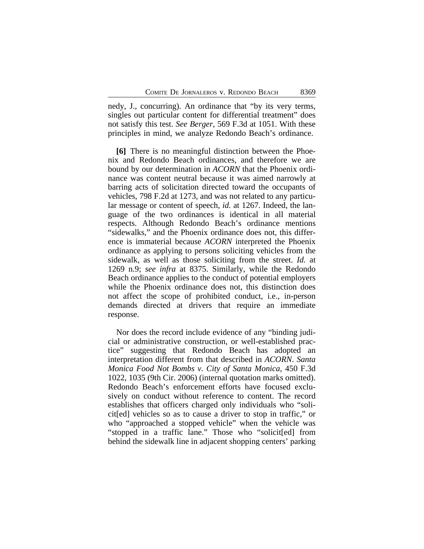nedy, J., concurring). An ordinance that "by its very terms, singles out particular content for differential treatment" does not satisfy this test. *See Berger*, 569 F.3d at 1051. With these principles in mind, we analyze Redondo Beach's ordinance.

**[6]** There is no meaningful distinction between the Phoenix and Redondo Beach ordinances, and therefore we are bound by our determination in *ACORN* that the Phoenix ordinance was content neutral because it was aimed narrowly at barring acts of solicitation directed toward the occupants of vehicles, 798 F.2d at 1273, and was not related to any particular message or content of speech, *id.* at 1267. Indeed, the language of the two ordinances is identical in all material respects. Although Redondo Beach's ordinance mentions "sidewalks," and the Phoenix ordinance does not, this difference is immaterial because *ACORN* interpreted the Phoenix ordinance as applying to persons soliciting vehicles from the sidewalk, as well as those soliciting from the street. *Id.* at 1269 n.9; *see infra* at 8375. Similarly, while the Redondo Beach ordinance applies to the conduct of potential employers while the Phoenix ordinance does not, this distinction does not affect the scope of prohibited conduct, i.e., in-person demands directed at drivers that require an immediate response.

Nor does the record include evidence of any "binding judicial or administrative construction, or well-established practice" suggesting that Redondo Beach has adopted an interpretation different from that described in *ACORN*. *Santa Monica Food Not Bombs v. City of Santa Monica*, 450 F.3d 1022, 1035 (9th Cir. 2006) (internal quotation marks omitted). Redondo Beach's enforcement efforts have focused exclusively on conduct without reference to content. The record establishes that officers charged only individuals who "solicit[ed] vehicles so as to cause a driver to stop in traffic," or who "approached a stopped vehicle" when the vehicle was "stopped in a traffic lane." Those who "solicit[ed] from behind the sidewalk line in adjacent shopping centers' parking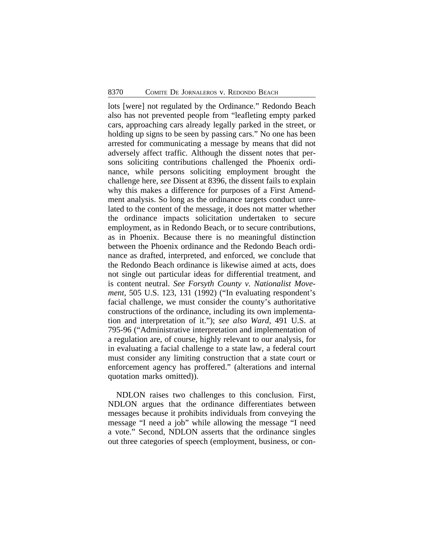lots [were] not regulated by the Ordinance." Redondo Beach also has not prevented people from "leafleting empty parked cars, approaching cars already legally parked in the street, or holding up signs to be seen by passing cars." No one has been arrested for communicating a message by means that did not adversely affect traffic. Although the dissent notes that persons soliciting contributions challenged the Phoenix ordinance, while persons soliciting employment brought the challenge here, *see* Dissent at 8396, the dissent fails to explain why this makes a difference for purposes of a First Amendment analysis. So long as the ordinance targets conduct unrelated to the content of the message, it does not matter whether the ordinance impacts solicitation undertaken to secure employment, as in Redondo Beach, or to secure contributions, as in Phoenix. Because there is no meaningful distinction between the Phoenix ordinance and the Redondo Beach ordinance as drafted, interpreted, and enforced, we conclude that the Redondo Beach ordinance is likewise aimed at acts, does not single out particular ideas for differential treatment, and is content neutral. *See Forsyth County v. Nationalist Movement*, 505 U.S. 123, 131 (1992) ("In evaluating respondent's facial challenge, we must consider the county's authoritative constructions of the ordinance, including its own implementation and interpretation of it."); *see also Ward*, 491 U.S. at 795-96 ("Administrative interpretation and implementation of a regulation are, of course, highly relevant to our analysis, for in evaluating a facial challenge to a state law, a federal court must consider any limiting construction that a state court or enforcement agency has proffered." (alterations and internal quotation marks omitted)).

NDLON raises two challenges to this conclusion. First, NDLON argues that the ordinance differentiates between messages because it prohibits individuals from conveying the message "I need a job" while allowing the message "I need a vote." Second, NDLON asserts that the ordinance singles out three categories of speech (employment, business, or con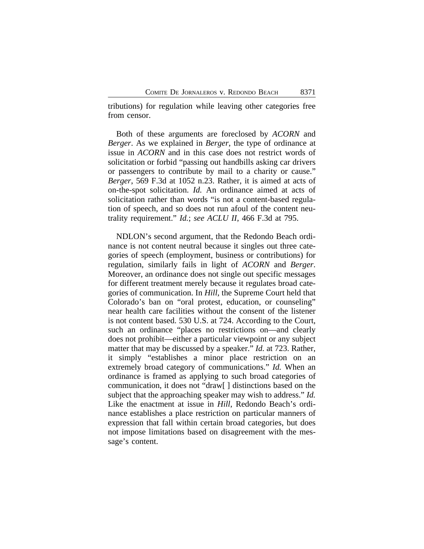tributions) for regulation while leaving other categories free from censor.

Both of these arguments are foreclosed by *ACORN* and *Berger*. As we explained in *Berger*, the type of ordinance at issue in *ACORN* and in this case does not restrict words of solicitation or forbid "passing out handbills asking car drivers or passengers to contribute by mail to a charity or cause." *Berger*, 569 F.3d at 1052 n.23. Rather, it is aimed at acts of on-the-spot solicitation. *Id.* An ordinance aimed at acts of solicitation rather than words "is not a content-based regulation of speech, and so does not run afoul of the content neutrality requirement." *Id.*; *see ACLU II*, 466 F.3d at 795.

NDLON's second argument, that the Redondo Beach ordinance is not content neutral because it singles out three categories of speech (employment, business or contributions) for regulation, similarly fails in light of *ACORN* and *Berger*. Moreover, an ordinance does not single out specific messages for different treatment merely because it regulates broad categories of communication. In *Hill*, the Supreme Court held that Colorado's ban on "oral protest, education, or counseling" near health care facilities without the consent of the listener is not content based. 530 U.S. at 724. According to the Court, such an ordinance "places no restrictions on—and clearly does not prohibit—either a particular viewpoint or any subject matter that may be discussed by a speaker." *Id.* at 723. Rather, it simply "establishes a minor place restriction on an extremely broad category of communications." *Id.* When an ordinance is framed as applying to such broad categories of communication, it does not "draw[ ] distinctions based on the subject that the approaching speaker may wish to address." *Id.* Like the enactment at issue in *Hill*, Redondo Beach's ordinance establishes a place restriction on particular manners of expression that fall within certain broad categories, but does not impose limitations based on disagreement with the message's content.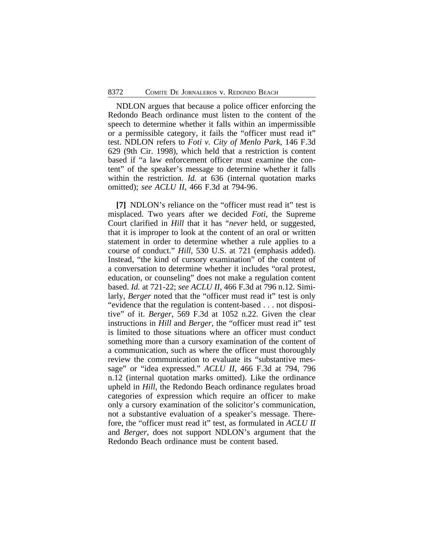NDLON argues that because a police officer enforcing the Redondo Beach ordinance must listen to the content of the speech to determine whether it falls within an impermissible or a permissible category, it fails the "officer must read it" test. NDLON refers to *Foti v. City of Menlo Park*, 146 F.3d 629 (9th Cir. 1998), which held that a restriction is content based if "a law enforcement officer must examine the content" of the speaker's message to determine whether it falls within the restriction. *Id.* at 636 (internal quotation marks omitted); *see ACLU II*, 466 F.3d at 794-96.

**[7]** NDLON's reliance on the "officer must read it" test is misplaced. Two years after we decided *Foti*, the Supreme Court clarified in *Hill* that it has "*never* held, or suggested, that it is improper to look at the content of an oral or written statement in order to determine whether a rule applies to a course of conduct." *Hill*, 530 U.S. at 721 (emphasis added). Instead, "the kind of cursory examination" of the content of a conversation to determine whether it includes "oral protest, education, or counseling" does not make a regulation content based. *Id.* at 721-22; *see ACLU II*, 466 F.3d at 796 n.12. Similarly, *Berger* noted that the "officer must read it" test is only "evidence that the regulation is content-based . . . not dispositive" of it. *Berger*, 569 F.3d at 1052 n.22. Given the clear instructions in *Hill* and *Berger*, the "officer must read it" test is limited to those situations where an officer must conduct something more than a cursory examination of the content of a communication, such as where the officer must thoroughly review the communication to evaluate its "substantive message" or "idea expressed." *ACLU II*, 466 F.3d at 794, 796 n.12 (internal quotation marks omitted). Like the ordinance upheld in *Hill*, the Redondo Beach ordinance regulates broad categories of expression which require an officer to make only a cursory examination of the solicitor's communication, not a substantive evaluation of a speaker's message. Therefore, the "officer must read it" test, as formulated in *ACLU II* and *Berger*, does not support NDLON's argument that the Redondo Beach ordinance must be content based.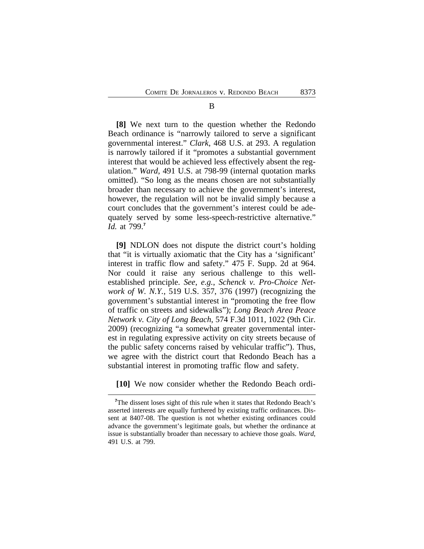**[8]** We next turn to the question whether the Redondo Beach ordinance is "narrowly tailored to serve a significant governmental interest." *Clark*, 468 U.S. at 293. A regulation is narrowly tailored if it "promotes a substantial government interest that would be achieved less effectively absent the regulation." *Ward*, 491 U.S. at 798-99 (internal quotation marks omitted). "So long as the means chosen are not substantially broader than necessary to achieve the government's interest, however, the regulation will not be invalid simply because a court concludes that the government's interest could be adequately served by some less-speech-restrictive alternative." *Id.* at 799.**<sup>7</sup>**

**[9]** NDLON does not dispute the district court's holding that "it is virtually axiomatic that the City has a 'significant' interest in traffic flow and safety." 475 F. Supp. 2d at 964. Nor could it raise any serious challenge to this wellestablished principle. *See*, *e.g.*, *Schenck v. Pro-Choice Network of W. N.Y.*, 519 U.S. 357, 376 (1997) (recognizing the government's substantial interest in "promoting the free flow of traffic on streets and sidewalks"); *Long Beach Area Peace Network v. City of Long Beach*, 574 F.3d 1011, 1022 (9th Cir. 2009) (recognizing "a somewhat greater governmental interest in regulating expressive activity on city streets because of the public safety concerns raised by vehicular traffic"). Thus, we agree with the district court that Redondo Beach has a substantial interest in promoting traffic flow and safety.

**[10]** We now consider whether the Redondo Beach ordi-

<sup>&</sup>lt;sup>7</sup>The dissent loses sight of this rule when it states that Redondo Beach's asserted interests are equally furthered by existing traffic ordinances. Dissent at 8407-08. The question is not whether existing ordinances could advance the government's legitimate goals, but whether the ordinance at issue is substantially broader than necessary to achieve those goals. *Ward*, 491 U.S. at 799.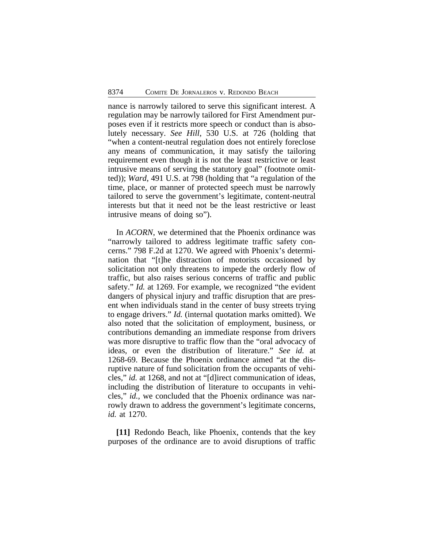nance is narrowly tailored to serve this significant interest. A regulation may be narrowly tailored for First Amendment purposes even if it restricts more speech or conduct than is absolutely necessary. *See Hill*, 530 U.S. at 726 (holding that "when a content-neutral regulation does not entirely foreclose any means of communication, it may satisfy the tailoring requirement even though it is not the least restrictive or least intrusive means of serving the statutory goal" (footnote omitted)); *Ward*, 491 U.S. at 798 (holding that "a regulation of the time, place, or manner of protected speech must be narrowly tailored to serve the government's legitimate, content-neutral interests but that it need not be the least restrictive or least intrusive means of doing so").

In *ACORN*, we determined that the Phoenix ordinance was "narrowly tailored to address legitimate traffic safety concerns." 798 F.2d at 1270. We agreed with Phoenix's determination that "[t]he distraction of motorists occasioned by solicitation not only threatens to impede the orderly flow of traffic, but also raises serious concerns of traffic and public safety." *Id.* at 1269. For example, we recognized "the evident dangers of physical injury and traffic disruption that are present when individuals stand in the center of busy streets trying to engage drivers." *Id.* (internal quotation marks omitted). We also noted that the solicitation of employment, business, or contributions demanding an immediate response from drivers was more disruptive to traffic flow than the "oral advocacy of ideas, or even the distribution of literature." *See id.* at 1268-69. Because the Phoenix ordinance aimed "at the disruptive nature of fund solicitation from the occupants of vehicles," *id.* at 1268, and not at "[d]irect communication of ideas, including the distribution of literature to occupants in vehicles," *id.*, we concluded that the Phoenix ordinance was narrowly drawn to address the government's legitimate concerns, *id.* at 1270.

**[11]** Redondo Beach, like Phoenix, contends that the key purposes of the ordinance are to avoid disruptions of traffic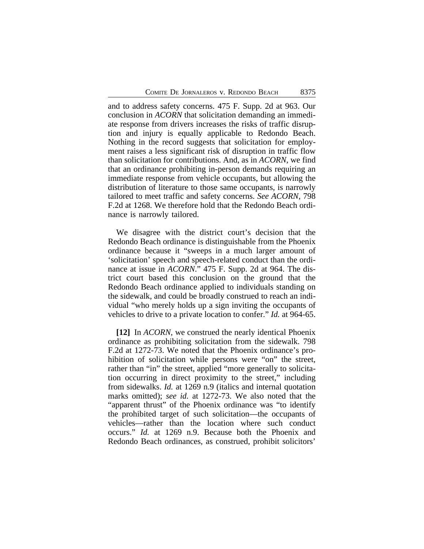and to address safety concerns. 475 F. Supp. 2d at 963. Our conclusion in *ACORN* that solicitation demanding an immediate response from drivers increases the risks of traffic disruption and injury is equally applicable to Redondo Beach. Nothing in the record suggests that solicitation for employment raises a less significant risk of disruption in traffic flow than solicitation for contributions. And, as in *ACORN*, we find that an ordinance prohibiting in-person demands requiring an immediate response from vehicle occupants, but allowing the distribution of literature to those same occupants, is narrowly tailored to meet traffic and safety concerns. *See ACORN*, 798 F.2d at 1268. We therefore hold that the Redondo Beach ordinance is narrowly tailored.

We disagree with the district court's decision that the Redondo Beach ordinance is distinguishable from the Phoenix ordinance because it "sweeps in a much larger amount of 'solicitation' speech and speech-related conduct than the ordinance at issue in *ACORN*." 475 F. Supp. 2d at 964. The district court based this conclusion on the ground that the Redondo Beach ordinance applied to individuals standing on the sidewalk, and could be broadly construed to reach an individual "who merely holds up a sign inviting the occupants of vehicles to drive to a private location to confer." *Id.* at 964-65.

**[12]** In *ACORN*, we construed the nearly identical Phoenix ordinance as prohibiting solicitation from the sidewalk. 798 F.2d at 1272-73. We noted that the Phoenix ordinance's prohibition of solicitation while persons were "on" the street, rather than "in" the street, applied "more generally to solicitation occurring in direct proximity to the street," including from sidewalks. *Id.* at 1269 n.9 (italics and internal quotation marks omitted); *see id.* at 1272-73. We also noted that the "apparent thrust" of the Phoenix ordinance was "to identify the prohibited target of such solicitation—the occupants of vehicles—rather than the location where such conduct occurs." *Id.* at 1269 n.9. Because both the Phoenix and Redondo Beach ordinances, as construed, prohibit solicitors'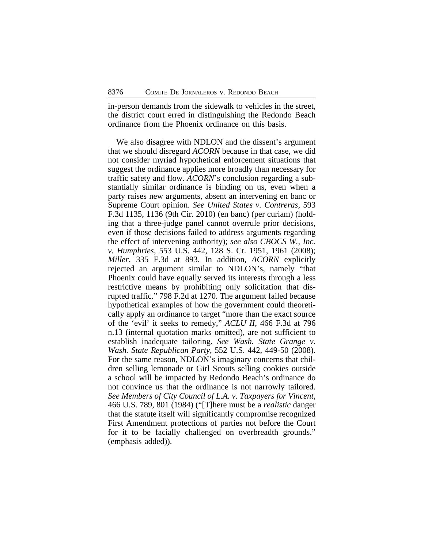in-person demands from the sidewalk to vehicles in the street, the district court erred in distinguishing the Redondo Beach ordinance from the Phoenix ordinance on this basis.

We also disagree with NDLON and the dissent's argument that we should disregard *ACORN* because in that case, we did not consider myriad hypothetical enforcement situations that suggest the ordinance applies more broadly than necessary for traffic safety and flow. *ACORN*'s conclusion regarding a substantially similar ordinance is binding on us, even when a party raises new arguments, absent an intervening en banc or Supreme Court opinion. *See United States v. Contreras*, 593 F.3d 1135, 1136 (9th Cir. 2010) (en banc) (per curiam) (holding that a three-judge panel cannot overrule prior decisions, even if those decisions failed to address arguments regarding the effect of intervening authority); *see also CBOCS W., Inc. v. Humphries*, 553 U.S. 442, 128 S. Ct. 1951, 1961 (2008); *Miller*, 335 F.3d at 893. In addition, *ACORN* explicitly rejected an argument similar to NDLON's, namely "that Phoenix could have equally served its interests through a less restrictive means by prohibiting only solicitation that disrupted traffic." 798 F.2d at 1270. The argument failed because hypothetical examples of how the government could theoretically apply an ordinance to target "more than the exact source of the 'evil' it seeks to remedy," *ACLU II*, 466 F.3d at 796 n.13 (internal quotation marks omitted), are not sufficient to establish inadequate tailoring. *See Wash. State Grange v. Wash. State Republican Party*, 552 U.S. 442, 449-50 (2008). For the same reason, NDLON's imaginary concerns that children selling lemonade or Girl Scouts selling cookies outside a school will be impacted by Redondo Beach's ordinance do not convince us that the ordinance is not narrowly tailored. *See Members of City Council of L.A. v. Taxpayers for Vincent*, 466 U.S. 789, 801 (1984) ("[T]here must be a *realistic* danger that the statute itself will significantly compromise recognized First Amendment protections of parties not before the Court for it to be facially challenged on overbreadth grounds." (emphasis added)).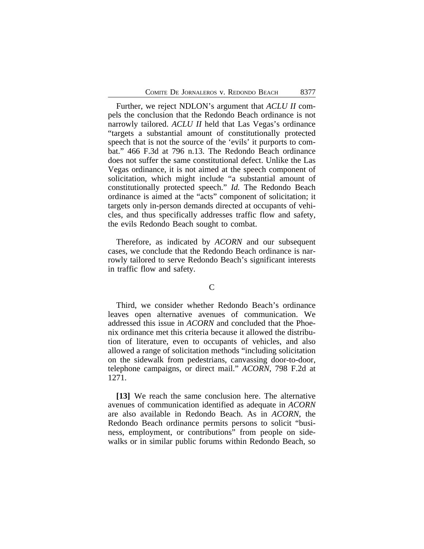Further, we reject NDLON's argument that *ACLU II* compels the conclusion that the Redondo Beach ordinance is not narrowly tailored. *ACLU II* held that Las Vegas's ordinance "targets a substantial amount of constitutionally protected speech that is not the source of the 'evils' it purports to combat." 466 F.3d at 796 n.13. The Redondo Beach ordinance does not suffer the same constitutional defect. Unlike the Las Vegas ordinance, it is not aimed at the speech component of solicitation, which might include "a substantial amount of constitutionally protected speech." *Id.* The Redondo Beach ordinance is aimed at the "acts" component of solicitation; it targets only in-person demands directed at occupants of vehicles, and thus specifically addresses traffic flow and safety, the evils Redondo Beach sought to combat.

Therefore, as indicated by *ACORN* and our subsequent cases, we conclude that the Redondo Beach ordinance is narrowly tailored to serve Redondo Beach's significant interests in traffic flow and safety.

#### $\mathcal{C}$

Third, we consider whether Redondo Beach's ordinance leaves open alternative avenues of communication. We addressed this issue in *ACORN* and concluded that the Phoenix ordinance met this criteria because it allowed the distribution of literature, even to occupants of vehicles, and also allowed a range of solicitation methods "including solicitation on the sidewalk from pedestrians, canvassing door-to-door, telephone campaigns, or direct mail." *ACORN*, 798 F.2d at 1271.

**[13]** We reach the same conclusion here. The alternative avenues of communication identified as adequate in *ACORN* are also available in Redondo Beach. As in *ACORN*, the Redondo Beach ordinance permits persons to solicit "business, employment, or contributions" from people on sidewalks or in similar public forums within Redondo Beach, so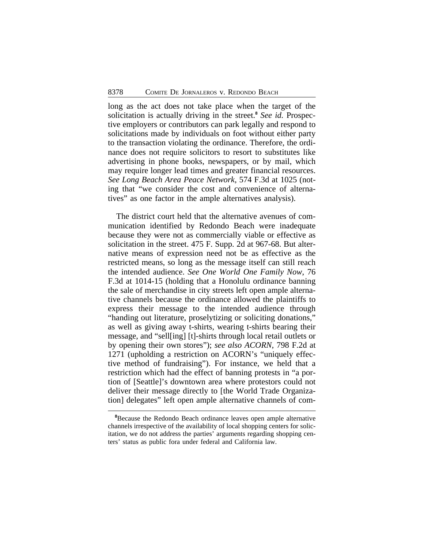long as the act does not take place when the target of the solicitation is actually driving in the street.**<sup>8</sup>** *See id.* Prospective employers or contributors can park legally and respond to solicitations made by individuals on foot without either party to the transaction violating the ordinance. Therefore, the ordinance does not require solicitors to resort to substitutes like advertising in phone books, newspapers, or by mail, which may require longer lead times and greater financial resources. *See Long Beach Area Peace Network*, 574 F.3d at 1025 (noting that "we consider the cost and convenience of alternatives" as one factor in the ample alternatives analysis).

The district court held that the alternative avenues of communication identified by Redondo Beach were inadequate because they were not as commercially viable or effective as solicitation in the street. 475 F. Supp. 2d at 967-68. But alternative means of expression need not be as effective as the restricted means, so long as the message itself can still reach the intended audience. *See One World One Family Now*, 76 F.3d at 1014-15 (holding that a Honolulu ordinance banning the sale of merchandise in city streets left open ample alternative channels because the ordinance allowed the plaintiffs to express their message to the intended audience through "handing out literature, proselytizing or soliciting donations," as well as giving away t-shirts, wearing t-shirts bearing their message, and "sell[ing] [t]-shirts through local retail outlets or by opening their own stores"); *see also ACORN*, 798 F.2d at 1271 (upholding a restriction on ACORN's "uniquely effective method of fundraising"). For instance, we held that a restriction which had the effect of banning protests in "a portion of [Seattle]'s downtown area where protestors could not deliver their message directly to [the World Trade Organization] delegates" left open ample alternative channels of com-

**<sup>8</sup>**Because the Redondo Beach ordinance leaves open ample alternative channels irrespective of the availability of local shopping centers for solicitation, we do not address the parties' arguments regarding shopping centers' status as public fora under federal and California law.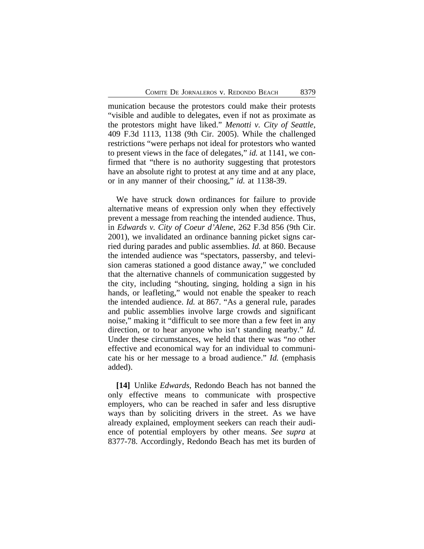munication because the protestors could make their protests "visible and audible to delegates, even if not as proximate as the protestors might have liked." *Menotti v. City of Seattle*, 409 F.3d 1113, 1138 (9th Cir. 2005). While the challenged restrictions "were perhaps not ideal for protestors who wanted to present views in the face of delegates," *id.* at 1141, we confirmed that "there is no authority suggesting that protestors have an absolute right to protest at any time and at any place, or in any manner of their choosing," *id.* at 1138-39.

We have struck down ordinances for failure to provide alternative means of expression only when they effectively prevent a message from reaching the intended audience. Thus, in *Edwards v. City of Coeur d'Alene*, 262 F.3d 856 (9th Cir. 2001), we invalidated an ordinance banning picket signs carried during parades and public assemblies. *Id.* at 860. Because the intended audience was "spectators, passersby, and television cameras stationed a good distance away," we concluded that the alternative channels of communication suggested by the city, including "shouting, singing, holding a sign in his hands, or leafleting," would not enable the speaker to reach the intended audience. *Id.* at 867. "As a general rule, parades and public assemblies involve large crowds and significant noise," making it "difficult to see more than a few feet in any direction, or to hear anyone who isn't standing nearby." *Id.* Under these circumstances, we held that there was "*no* other effective and economical way for an individual to communicate his or her message to a broad audience." *Id.* (emphasis added).

**[14]** Unlike *Edwards*, Redondo Beach has not banned the only effective means to communicate with prospective employers, who can be reached in safer and less disruptive ways than by soliciting drivers in the street. As we have already explained, employment seekers can reach their audience of potential employers by other means. *See supra* at 8377-78. Accordingly, Redondo Beach has met its burden of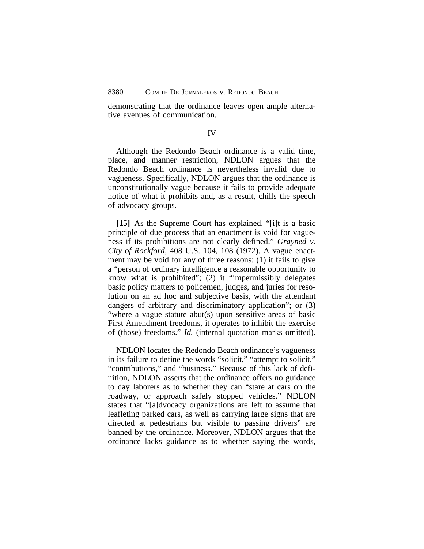demonstrating that the ordinance leaves open ample alternative avenues of communication.

# IV

Although the Redondo Beach ordinance is a valid time, place, and manner restriction, NDLON argues that the Redondo Beach ordinance is nevertheless invalid due to vagueness. Specifically, NDLON argues that the ordinance is unconstitutionally vague because it fails to provide adequate notice of what it prohibits and, as a result, chills the speech of advocacy groups.

**[15]** As the Supreme Court has explained, "[i]t is a basic principle of due process that an enactment is void for vagueness if its prohibitions are not clearly defined." *Grayned v. City of Rockford*, 408 U.S. 104, 108 (1972). A vague enactment may be void for any of three reasons: (1) it fails to give a "person of ordinary intelligence a reasonable opportunity to know what is prohibited"; (2) it "impermissibly delegates basic policy matters to policemen, judges, and juries for resolution on an ad hoc and subjective basis, with the attendant dangers of arbitrary and discriminatory application"; or (3) "where a vague statute abut(s) upon sensitive areas of basic First Amendment freedoms, it operates to inhibit the exercise of (those) freedoms." *Id.* (internal quotation marks omitted).

NDLON locates the Redondo Beach ordinance's vagueness in its failure to define the words "solicit," "attempt to solicit," "contributions," and "business." Because of this lack of definition, NDLON asserts that the ordinance offers no guidance to day laborers as to whether they can "stare at cars on the roadway, or approach safely stopped vehicles." NDLON states that "[a]dvocacy organizations are left to assume that leafleting parked cars, as well as carrying large signs that are directed at pedestrians but visible to passing drivers" are banned by the ordinance. Moreover, NDLON argues that the ordinance lacks guidance as to whether saying the words,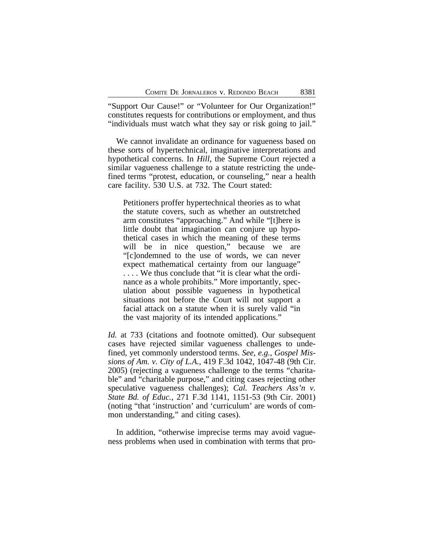"Support Our Cause!" or "Volunteer for Our Organization!" constitutes requests for contributions or employment, and thus "individuals must watch what they say or risk going to jail."

We cannot invalidate an ordinance for vagueness based on these sorts of hypertechnical, imaginative interpretations and hypothetical concerns. In *Hill*, the Supreme Court rejected a similar vagueness challenge to a statute restricting the undefined terms "protest, education, or counseling," near a health care facility. 530 U.S. at 732. The Court stated:

Petitioners proffer hypertechnical theories as to what the statute covers, such as whether an outstretched arm constitutes "approaching." And while "[t]here is little doubt that imagination can conjure up hypothetical cases in which the meaning of these terms will be in nice question," because we are "[c]ondemned to the use of words, we can never expect mathematical certainty from our language" . . . . We thus conclude that "it is clear what the ordinance as a whole prohibits." More importantly, speculation about possible vagueness in hypothetical situations not before the Court will not support a facial attack on a statute when it is surely valid "in the vast majority of its intended applications."

*Id.* at 733 (citations and footnote omitted). Our subsequent cases have rejected similar vagueness challenges to undefined, yet commonly understood terms. *See*, *e.g.*, *Gospel Missions of Am. v. City of L.A.*, 419 F.3d 1042, 1047-48 (9th Cir. 2005) (rejecting a vagueness challenge to the terms "charitable" and "charitable purpose," and citing cases rejecting other speculative vagueness challenges); *Cal. Teachers Ass'n v. State Bd. of Educ.*, 271 F.3d 1141, 1151-53 (9th Cir. 2001) (noting "that 'instruction' and 'curriculum' are words of common understanding," and citing cases).

In addition, "otherwise imprecise terms may avoid vagueness problems when used in combination with terms that pro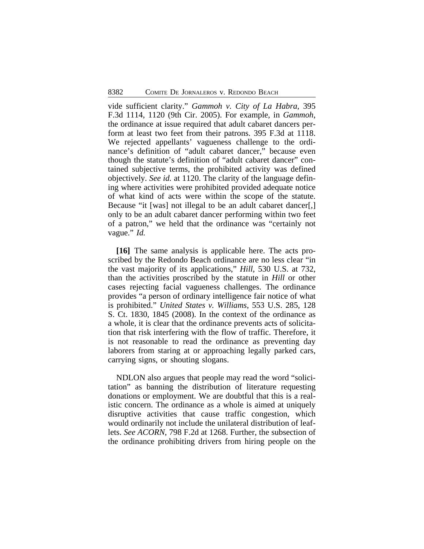vide sufficient clarity." *Gammoh v. City of La Habra*, 395 F.3d 1114, 1120 (9th Cir. 2005). For example, in *Gammoh*, the ordinance at issue required that adult cabaret dancers perform at least two feet from their patrons. 395 F.3d at 1118. We rejected appellants' vagueness challenge to the ordinance's definition of "adult cabaret dancer," because even though the statute's definition of "adult cabaret dancer" contained subjective terms, the prohibited activity was defined objectively. *See id.* at 1120. The clarity of the language defining where activities were prohibited provided adequate notice of what kind of acts were within the scope of the statute. Because "it [was] not illegal to be an adult cabaret dancer[,] only to be an adult cabaret dancer performing within two feet of a patron," we held that the ordinance was "certainly not vague." *Id.*

**[16]** The same analysis is applicable here. The acts proscribed by the Redondo Beach ordinance are no less clear "in the vast majority of its applications," *Hill*, 530 U.S. at 732, than the activities proscribed by the statute in *Hill* or other cases rejecting facial vagueness challenges. The ordinance provides "a person of ordinary intelligence fair notice of what is prohibited." *United States v. Williams*, 553 U.S. 285, 128 S. Ct. 1830, 1845 (2008). In the context of the ordinance as a whole, it is clear that the ordinance prevents acts of solicitation that risk interfering with the flow of traffic. Therefore, it is not reasonable to read the ordinance as preventing day laborers from staring at or approaching legally parked cars, carrying signs, or shouting slogans.

NDLON also argues that people may read the word "solicitation" as banning the distribution of literature requesting donations or employment. We are doubtful that this is a realistic concern. The ordinance as a whole is aimed at uniquely disruptive activities that cause traffic congestion, which would ordinarily not include the unilateral distribution of leaflets. *See ACORN*, 798 F.2d at 1268. Further, the subsection of the ordinance prohibiting drivers from hiring people on the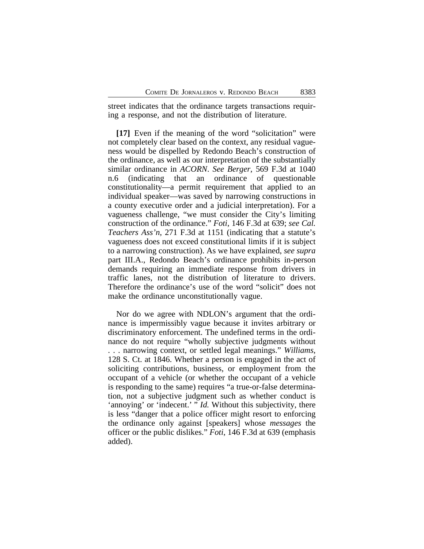street indicates that the ordinance targets transactions requiring a response, and not the distribution of literature.

**[17]** Even if the meaning of the word "solicitation" were not completely clear based on the context, any residual vagueness would be dispelled by Redondo Beach's construction of the ordinance, as well as our interpretation of the substantially similar ordinance in *ACORN*. *See Berger*, 569 F.3d at 1040 n.6 (indicating that an ordinance of questionable constitutionality—a permit requirement that applied to an individual speaker—was saved by narrowing constructions in a county executive order and a judicial interpretation). For a vagueness challenge, "we must consider the City's limiting construction of the ordinance." *Foti*, 146 F.3d at 639; *see Cal. Teachers Ass'n*, 271 F.3d at 1151 (indicating that a statute's vagueness does not exceed constitutional limits if it is subject to a narrowing construction). As we have explained, *see supra* part III.A., Redondo Beach's ordinance prohibits in-person demands requiring an immediate response from drivers in traffic lanes, not the distribution of literature to drivers. Therefore the ordinance's use of the word "solicit" does not make the ordinance unconstitutionally vague.

Nor do we agree with NDLON's argument that the ordinance is impermissibly vague because it invites arbitrary or discriminatory enforcement. The undefined terms in the ordinance do not require "wholly subjective judgments without . . . narrowing context, or settled legal meanings." *Williams*, 128 S. Ct. at 1846. Whether a person is engaged in the act of soliciting contributions, business, or employment from the occupant of a vehicle (or whether the occupant of a vehicle is responding to the same) requires "a true-or-false determination, not a subjective judgment such as whether conduct is 'annoying' or 'indecent.' " *Id.* Without this subjectivity, there is less "danger that a police officer might resort to enforcing the ordinance only against [speakers] whose *messages* the officer or the public dislikes." *Foti*, 146 F.3d at 639 (emphasis added).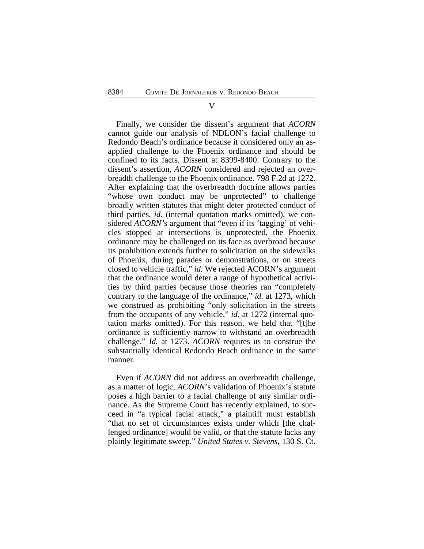Finally, we consider the dissent's argument that *ACORN* cannot guide our analysis of NDLON's facial challenge to Redondo Beach's ordinance because it considered only an asapplied challenge to the Phoenix ordinance and should be confined to its facts. Dissent at 8399-8400. Contrary to the dissent's assertion, *ACORN* considered and rejected an overbreadth challenge to the Phoenix ordinance. 798 F.2d at 1272. After explaining that the overbreadth doctrine allows parties "whose own conduct may be unprotected" to challenge broadly written statutes that might deter protected conduct of third parties, *id.* (internal quotation marks omitted), we considered *ACORN'*s argument that "even if its 'tagging' of vehicles stopped at intersections is unprotected, the Phoenix ordinance may be challenged on its face as overbroad because its prohibition extends further to solicitation on the sidewalks of Phoenix, during parades or demonstrations, or on streets closed to vehicle traffic," *id.* We rejected ACORN's argument that the ordinance would deter a range of hypothetical activities by third parties because those theories ran "completely contrary to the language of the ordinance," *id.* at 1273, which we construed as prohibiting "only solicitation in the streets from the occupants of any vehicle," *id.* at 1272 (internal quotation marks omitted). For this reason, we held that "[t]he ordinance is sufficiently narrow to withstand an overbreadth challenge." *Id.* at 1273. *ACORN* requires us to construe the substantially identical Redondo Beach ordinance in the same manner.

Even if *ACORN* did not address an overbreadth challenge, as a matter of logic, *ACORN*'s validation of Phoenix's statute poses a high barrier to a facial challenge of any similar ordinance. As the Supreme Court has recently explained, to succeed in "a typical facial attack," a plaintiff must establish "that no set of circumstances exists under which [the challenged ordinance] would be valid, or that the statute lacks any plainly legitimate sweep." *United States v. Stevens*, 130 S. Ct.

V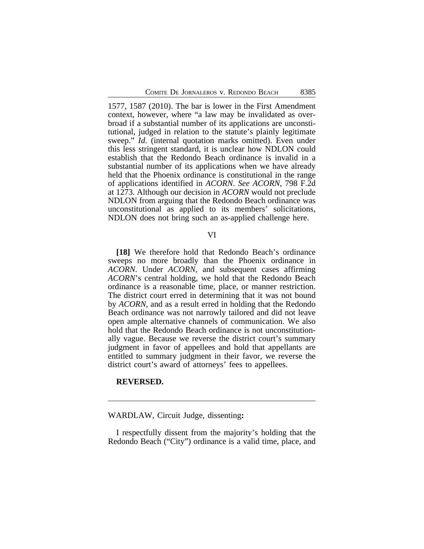1577, 1587 (2010). The bar is lower in the First Amendment context, however, where "a law may be invalidated as overbroad if a substantial number of its applications are unconstitutional, judged in relation to the statute's plainly legitimate sweep." *Id*. (internal quotation marks omitted). Even under this less stringent standard, it is unclear how NDLON could establish that the Redondo Beach ordinance is invalid in a substantial number of its applications when we have already held that the Phoenix ordinance is constitutional in the range of applications identified in *ACORN*. *See ACORN*, 798 F.2d at 1273. Although our decision in *ACORN* would not preclude NDLON from arguing that the Redondo Beach ordinance was unconstitutional as applied to its members' solicitations, NDLON does not bring such an as-applied challenge here.

#### VI

**[18]** We therefore hold that Redondo Beach's ordinance sweeps no more broadly than the Phoenix ordinance in *ACORN*. Under *ACORN*, and subsequent cases affirming *ACORN*'s central holding, we hold that the Redondo Beach ordinance is a reasonable time, place, or manner restriction. The district court erred in determining that it was not bound by *ACORN*, and as a result erred in holding that the Redondo Beach ordinance was not narrowly tailored and did not leave open ample alternative channels of communication. We also hold that the Redondo Beach ordinance is not unconstitutionally vague. Because we reverse the district court's summary judgment in favor of appellees and hold that appellants are entitled to summary judgment in their favor, we reverse the district court's award of attorneys' fees to appellees.

#### **REVERSED.**

WARDLAW, Circuit Judge, dissenting**:**

I respectfully dissent from the majority's holding that the Redondo Beach ("City") ordinance is a valid time, place, and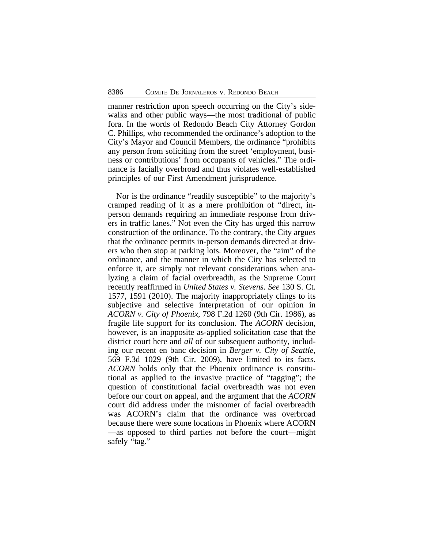manner restriction upon speech occurring on the City's sidewalks and other public ways—the most traditional of public fora. In the words of Redondo Beach City Attorney Gordon C. Phillips, who recommended the ordinance's adoption to the City's Mayor and Council Members, the ordinance "prohibits any person from soliciting from the street 'employment, business or contributions' from occupants of vehicles." The ordinance is facially overbroad and thus violates well-established principles of our First Amendment jurisprudence.

Nor is the ordinance "readily susceptible" to the majority's cramped reading of it as a mere prohibition of "direct, inperson demands requiring an immediate response from drivers in traffic lanes." Not even the City has urged this narrow construction of the ordinance. To the contrary, the City argues that the ordinance permits in-person demands directed at drivers who then stop at parking lots. Moreover, the "aim" of the ordinance, and the manner in which the City has selected to enforce it, are simply not relevant considerations when analyzing a claim of facial overbreadth, as the Supreme Court recently reaffirmed in *United States v. Stevens*. *See* 130 S. Ct. 1577, 1591 (2010). The majority inappropriately clings to its subjective and selective interpretation of our opinion in *ACORN v. City of Phoenix*, 798 F.2d 1260 (9th Cir. 1986), as fragile life support for its conclusion. The *ACORN* decision, however, is an inapposite as-applied solicitation case that the district court here and *all* of our subsequent authority, including our recent en banc decision in *Berger v. City of Seattle*, 569 F.3d 1029 (9th Cir. 2009), have limited to its facts. *ACORN* holds only that the Phoenix ordinance is constitutional as applied to the invasive practice of "tagging"; the question of constitutional facial overbreadth was not even before our court on appeal, and the argument that the *ACORN* court did address under the misnomer of facial overbreadth was ACORN's claim that the ordinance was overbroad because there were some locations in Phoenix where ACORN —as opposed to third parties not before the court—might safely "tag."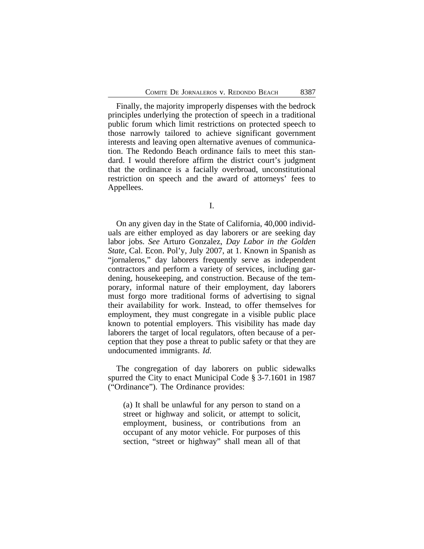Finally, the majority improperly dispenses with the bedrock principles underlying the protection of speech in a traditional public forum which limit restrictions on protected speech to those narrowly tailored to achieve significant government interests and leaving open alternative avenues of communication. The Redondo Beach ordinance fails to meet this standard. I would therefore affirm the district court's judgment that the ordinance is a facially overbroad, unconstitutional restriction on speech and the award of attorneys' fees to Appellees.

I.

On any given day in the State of California, 40,000 individuals are either employed as day laborers or are seeking day labor jobs. *See* Arturo Gonzalez, *Day Labor in the Golden State*, Cal. Econ. Pol'y, July 2007, at 1. Known in Spanish as "jornaleros," day laborers frequently serve as independent contractors and perform a variety of services, including gardening, housekeeping, and construction. Because of the temporary, informal nature of their employment, day laborers must forgo more traditional forms of advertising to signal their availability for work. Instead, to offer themselves for employment, they must congregate in a visible public place known to potential employers. This visibility has made day laborers the target of local regulators, often because of a perception that they pose a threat to public safety or that they are undocumented immigrants. *Id.*

The congregation of day laborers on public sidewalks spurred the City to enact Municipal Code § 3-7.1601 in 1987 ("Ordinance"). The Ordinance provides:

(a) It shall be unlawful for any person to stand on a street or highway and solicit, or attempt to solicit, employment, business, or contributions from an occupant of any motor vehicle. For purposes of this section, "street or highway" shall mean all of that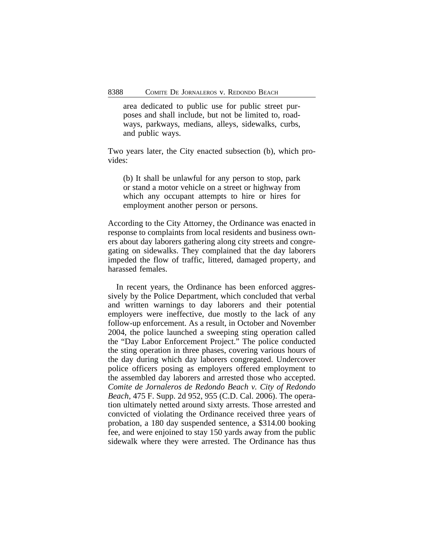area dedicated to public use for public street purposes and shall include, but not be limited to, roadways, parkways, medians, alleys, sidewalks, curbs, and public ways.

Two years later, the City enacted subsection (b), which provides:

(b) It shall be unlawful for any person to stop, park or stand a motor vehicle on a street or highway from which any occupant attempts to hire or hires for employment another person or persons.

According to the City Attorney, the Ordinance was enacted in response to complaints from local residents and business owners about day laborers gathering along city streets and congregating on sidewalks. They complained that the day laborers impeded the flow of traffic, littered, damaged property, and harassed females.

In recent years, the Ordinance has been enforced aggressively by the Police Department, which concluded that verbal and written warnings to day laborers and their potential employers were ineffective, due mostly to the lack of any follow-up enforcement. As a result, in October and November 2004, the police launched a sweeping sting operation called the "Day Labor Enforcement Project." The police conducted the sting operation in three phases, covering various hours of the day during which day laborers congregated. Undercover police officers posing as employers offered employment to the assembled day laborers and arrested those who accepted. *Comite de Jornaleros de Redondo Beach v. City of Redondo Beach*, 475 F. Supp. 2d 952, 955 (C.D. Cal. 2006). The operation ultimately netted around sixty arrests. Those arrested and convicted of violating the Ordinance received three years of probation, a 180 day suspended sentence, a \$314.00 booking fee, and were enjoined to stay 150 yards away from the public sidewalk where they were arrested. The Ordinance has thus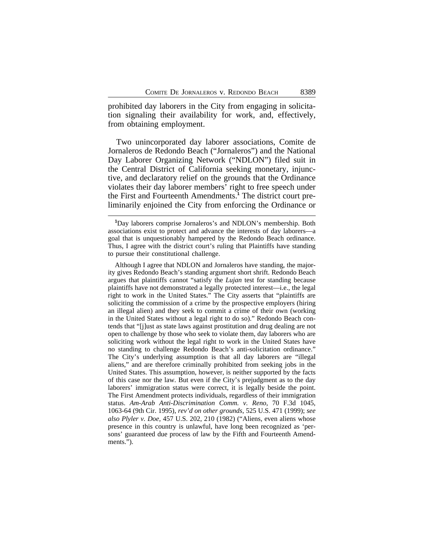prohibited day laborers in the City from engaging in solicitation signaling their availability for work, and, effectively, from obtaining employment.

Two unincorporated day laborer associations, Comite de Jornaleros de Redondo Beach ("Jornaleros") and the National Day Laborer Organizing Network ("NDLON") filed suit in the Central District of California seeking monetary, injunctive, and declaratory relief on the grounds that the Ordinance violates their day laborer members' right to free speech under the First and Fourteenth Amendments.**<sup>1</sup>** The district court preliminarily enjoined the City from enforcing the Ordinance or

**<sup>1</sup>**Day laborers comprise Jornaleros's and NDLON's membership. Both associations exist to protect and advance the interests of day laborers—a goal that is unquestionably hampered by the Redondo Beach ordinance. Thus, I agree with the district court's ruling that Plaintiffs have standing to pursue their constitutional challenge.

Although I agree that NDLON and Jornaleros have standing, the majority gives Redondo Beach's standing argument short shrift. Redondo Beach argues that plaintiffs cannot "satisfy the *Lujan* test for standing because plaintiffs have not demonstrated a legally protected interest—i.e., the legal right to work in the United States." The City asserts that "plaintiffs are soliciting the commission of a crime by the prospective employers (hiring an illegal alien) and they seek to commit a crime of their own (working in the United States without a legal right to do so)." Redondo Beach contends that "[j]ust as state laws against prostitution and drug dealing are not open to challenge by those who seek to violate them, day laborers who are soliciting work without the legal right to work in the United States have no standing to challenge Redondo Beach's anti-solicitation ordinance." The City's underlying assumption is that all day laborers are "illegal aliens," and are therefore criminally prohibited from seeking jobs in the United States. This assumption, however, is neither supported by the facts of this case nor the law. But even if the City's prejudgment as to the day laborers' immigration status were correct, it is legally beside the point. The First Amendment protects individuals, regardless of their immigration status. *Am-Arab Anti-Discrimination Comm. v. Reno*, 70 F.3d 1045, 1063-64 (9th Cir. 1995), *rev'd on other grounds*, 525 U.S. 471 (1999); *see also Plyler v. Doe*, 457 U.S. 202, 210 (1982) ("Aliens, even aliens whose presence in this country is unlawful, have long been recognized as 'persons' guaranteed due process of law by the Fifth and Fourteenth Amendments.").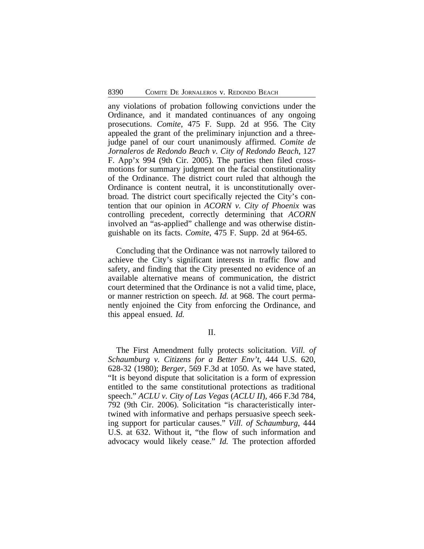any violations of probation following convictions under the Ordinance, and it mandated continuances of any ongoing prosecutions. *Comite*, 475 F. Supp. 2d at 956. The City appealed the grant of the preliminary injunction and a threejudge panel of our court unanimously affirmed. *Comite de Jornaleros de Redondo Beach v. City of Redondo Beach*, 127 F. App'x 994 (9th Cir. 2005). The parties then filed crossmotions for summary judgment on the facial constitutionality of the Ordinance. The district court ruled that although the Ordinance is content neutral, it is unconstitutionally overbroad. The district court specifically rejected the City's contention that our opinion in *ACORN v. City of Phoenix* was controlling precedent, correctly determining that *ACORN* involved an "as-applied" challenge and was otherwise distinguishable on its facts. *Comite*, 475 F. Supp. 2d at 964-65.

Concluding that the Ordinance was not narrowly tailored to achieve the City's significant interests in traffic flow and safety, and finding that the City presented no evidence of an available alternative means of communication, the district court determined that the Ordinance is not a valid time, place, or manner restriction on speech. *Id.* at 968. The court permanently enjoined the City from enforcing the Ordinance, and this appeal ensued. *Id.*

II.

The First Amendment fully protects solicitation. *Vill. of Schaumburg v. Citizens for a Better Env't*, 444 U.S. 620, 628-32 (1980); *Berger*, 569 F.3d at 1050. As we have stated, "It is beyond dispute that solicitation is a form of expression entitled to the same constitutional protections as traditional speech." *ACLU v. City of Las Vegas* (*ACLU II*), 466 F.3d 784, 792 (9th Cir. 2006). Solicitation "is characteristically intertwined with informative and perhaps persuasive speech seeking support for particular causes." *Vill. of Schaumburg*, 444 U.S. at 632. Without it, "the flow of such information and advocacy would likely cease." *Id.* The protection afforded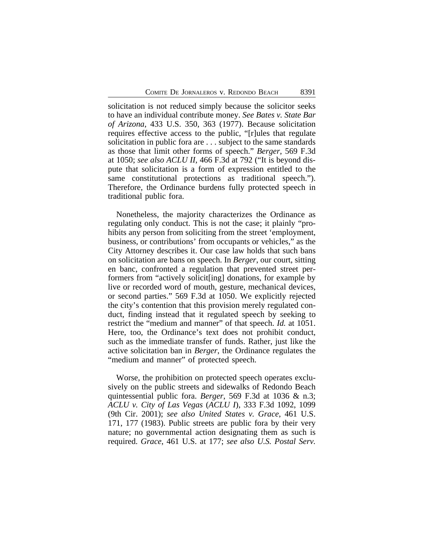solicitation is not reduced simply because the solicitor seeks to have an individual contribute money. *See Bates v. State Bar of Arizona*, 433 U.S. 350, 363 (1977). Because solicitation requires effective access to the public, "[r]ules that regulate solicitation in public fora are . . . subject to the same standards as those that limit other forms of speech." *Berger*, 569 F.3d at 1050; *see also ACLU II*, 466 F.3d at 792 ("It is beyond dispute that solicitation is a form of expression entitled to the same constitutional protections as traditional speech."). Therefore, the Ordinance burdens fully protected speech in traditional public fora.

Nonetheless, the majority characterizes the Ordinance as regulating only conduct. This is not the case; it plainly "prohibits any person from soliciting from the street 'employment, business, or contributions' from occupants or vehicles," as the City Attorney describes it. Our case law holds that such bans on solicitation are bans on speech. In *Berger*, our court, sitting en banc, confronted a regulation that prevented street performers from "actively solicit[ing] donations, for example by live or recorded word of mouth, gesture, mechanical devices, or second parties." 569 F.3d at 1050. We explicitly rejected the city's contention that this provision merely regulated conduct, finding instead that it regulated speech by seeking to restrict the "medium and manner" of that speech. *Id.* at 1051. Here, too, the Ordinance's text does not prohibit conduct, such as the immediate transfer of funds. Rather, just like the active solicitation ban in *Berger*, the Ordinance regulates the "medium and manner" of protected speech.

Worse, the prohibition on protected speech operates exclusively on the public streets and sidewalks of Redondo Beach quintessential public fora. *Berger*, 569 F.3d at 1036 & n.3; *ACLU v. City of Las Vegas* (*ACLU I*), 333 F.3d 1092, 1099 (9th Cir. 2001); *see also United States v. Grace*, 461 U.S. 171, 177 (1983). Public streets are public fora by their very nature; no governmental action designating them as such is required. *Grace*, 461 U.S. at 177; *see also U.S. Postal Serv.*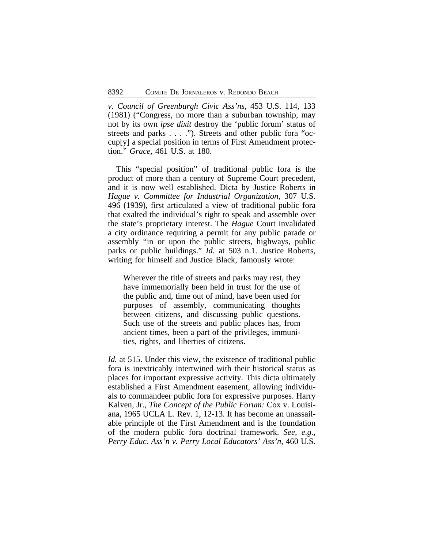*v. Council of Greenburgh Civic Ass'ns*, 453 U.S. 114, 133 (1981) ("Congress, no more than a suburban township, may not by its own *ipse dixit* destroy the 'public forum' status of streets and parks . . . ."). Streets and other public fora "occup[y] a special position in terms of First Amendment protection." *Grace*, 461 U.S. at 180.

This "special position" of traditional public fora is the product of more than a century of Supreme Court precedent, and it is now well established. Dicta by Justice Roberts in *Hague v. Committee for Industrial Organization*, 307 U.S. 496 (1939), first articulated a view of traditional public fora that exalted the individual's right to speak and assemble over the state's proprietary interest. The *Hague* Court invalidated a city ordinance requiring a permit for any public parade or assembly "in or upon the public streets, highways, public parks or public buildings." *Id.* at 503 n.1. Justice Roberts, writing for himself and Justice Black, famously wrote:

Wherever the title of streets and parks may rest, they have immemorially been held in trust for the use of the public and, time out of mind, have been used for purposes of assembly, communicating thoughts between citizens, and discussing public questions. Such use of the streets and public places has, from ancient times, been a part of the privileges, immunities, rights, and liberties of citizens.

*Id.* at 515. Under this view, the existence of traditional public fora is inextricably intertwined with their historical status as places for important expressive activity. This dicta ultimately established a First Amendment easement, allowing individuals to commandeer public fora for expressive purposes. Harry Kalven, Jr., *The Concept of the Public Forum:* Cox v. Louisiana, 1965 UCLA L. Rev. 1, 12-13. It has become an unassailable principle of the First Amendment and is the foundation of the modern public fora doctrinal framework. *See, e.g.*, *Perry Educ. Ass'n v. Perry Local Educators' Ass'n*, 460 U.S.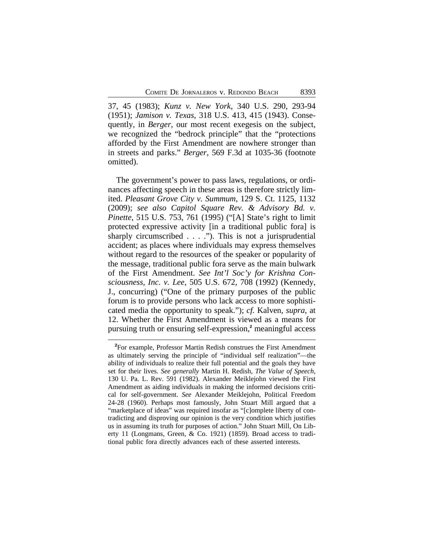37, 45 (1983); *Kunz v. New York*, 340 U.S. 290, 293-94 (1951); *Jamison v. Texas*, 318 U.S. 413, 415 (1943). Consequently, in *Berger*, our most recent exegesis on the subject, we recognized the "bedrock principle" that the "protections afforded by the First Amendment are nowhere stronger than in streets and parks." *Berger*, 569 F.3d at 1035-36 (footnote omitted).

The government's power to pass laws, regulations, or ordinances affecting speech in these areas is therefore strictly limited. *Pleasant Grove City v. Summum*, 129 S. Ct. 1125, 1132 (2009); *see also Capitol Square Rev. & Advisory Bd. v. Pinette*, 515 U.S. 753, 761 (1995) ("[A] State's right to limit protected expressive activity [in a traditional public fora] is sharply circumscribed  $\dots$  ."). This is not a jurisprudential accident; as places where individuals may express themselves without regard to the resources of the speaker or popularity of the message, traditional public fora serve as the main bulwark of the First Amendment. *See Int'l Soc'y for Krishna Consciousness, Inc. v. Lee*, 505 U.S. 672, 708 (1992) (Kennedy, J., concurring) ("One of the primary purposes of the public forum is to provide persons who lack access to more sophisticated media the opportunity to speak."); *cf.* Kalven, *supra*, at 12. Whether the First Amendment is viewed as a means for pursuing truth or ensuring self-expression,**<sup>2</sup>** meaningful access

**<sup>2</sup>**For example, Professor Martin Redish construes the First Amendment as ultimately serving the principle of "individual self realization"—the ability of individuals to realize their full potential and the goals they have set for their lives. *See generally* Martin H. Redish, *The Value of Speech*, 130 U. Pa. L. Rev. 591 (1982). Alexander Meiklejohn viewed the First Amendment as aiding individuals in making the informed decisions critical for self-government. *See* Alexander Meiklejohn, Political Freedom 24-28 (1960). Perhaps most famously, John Stuart Mill argued that a "marketplace of ideas" was required insofar as "[c]omplete liberty of contradicting and disproving our opinion is the very condition which justifies us in assuming its truth for purposes of action." John Stuart Mill, On Liberty 11 (Longmans, Green, & Co. 1921) (1859). Broad access to traditional public fora directly advances each of these asserted interests.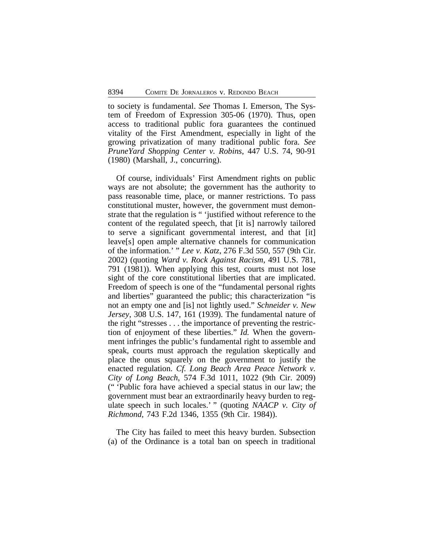to society is fundamental. *See* Thomas I. Emerson, The System of Freedom of Expression 305-06 (1970). Thus, open access to traditional public fora guarantees the continued vitality of the First Amendment, especially in light of the growing privatization of many traditional public fora. *See PruneYard Shopping Center v. Robins*, 447 U.S. 74, 90-91 (1980) (Marshall, J., concurring).

Of course, individuals' First Amendment rights on public ways are not absolute; the government has the authority to pass reasonable time, place, or manner restrictions. To pass constitutional muster, however, the government must demonstrate that the regulation is " 'justified without reference to the content of the regulated speech, that [it is] narrowly tailored to serve a significant governmental interest, and that [it] leave[s] open ample alternative channels for communication of the information.' " *Lee v. Katz*, 276 F.3d 550, 557 (9th Cir. 2002) (quoting *Ward v. Rock Against Racism*, 491 U.S. 781, 791 (1981)). When applying this test, courts must not lose sight of the core constitutional liberties that are implicated. Freedom of speech is one of the "fundamental personal rights and liberties" guaranteed the public; this characterization "is not an empty one and [is] not lightly used." *Schneider v. New Jersey*, 308 U.S. 147, 161 (1939). The fundamental nature of the right "stresses . . . the importance of preventing the restriction of enjoyment of these liberties." *Id.* When the government infringes the public's fundamental right to assemble and speak, courts must approach the regulation skeptically and place the onus squarely on the government to justify the enacted regulation. *Cf. Long Beach Area Peace Network v. City of Long Beach*, 574 F.3d 1011, 1022 (9th Cir. 2009) (" 'Public fora have achieved a special status in our law; the government must bear an extraordinarily heavy burden to regulate speech in such locales.' " (quoting *NAACP v. City of Richmond*, 743 F.2d 1346, 1355 (9th Cir. 1984)).

The City has failed to meet this heavy burden. Subsection (a) of the Ordinance is a total ban on speech in traditional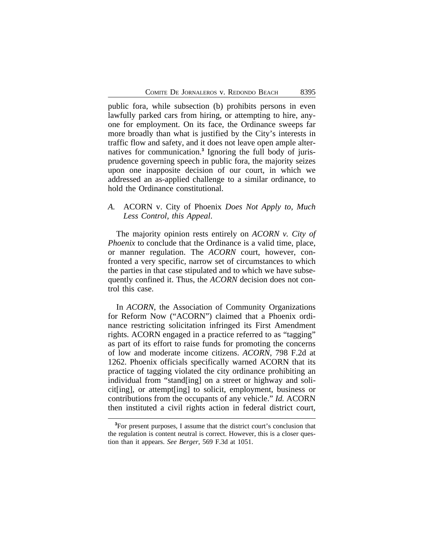public fora, while subsection (b) prohibits persons in even lawfully parked cars from hiring, or attempting to hire, anyone for employment. On its face, the Ordinance sweeps far more broadly than what is justified by the City's interests in traffic flow and safety, and it does not leave open ample alternatives for communication.**<sup>3</sup>** Ignoring the full body of jurisprudence governing speech in public fora, the majority seizes upon one inapposite decision of our court, in which we addressed an as-applied challenge to a similar ordinance, to hold the Ordinance constitutional.

# *A.* ACORN v. City of Phoenix *Does Not Apply to, Much Less Control, this Appeal*.

The majority opinion rests entirely on *ACORN v. City of Phoenix* to conclude that the Ordinance is a valid time, place, or manner regulation. The *ACORN* court, however, confronted a very specific, narrow set of circumstances to which the parties in that case stipulated and to which we have subsequently confined it. Thus, the *ACORN* decision does not control this case.

In *ACORN*, the Association of Community Organizations for Reform Now ("ACORN") claimed that a Phoenix ordinance restricting solicitation infringed its First Amendment rights. ACORN engaged in a practice referred to as "tagging" as part of its effort to raise funds for promoting the concerns of low and moderate income citizens. *ACORN*, 798 F.2d at 1262. Phoenix officials specifically warned ACORN that its practice of tagging violated the city ordinance prohibiting an individual from "stand[ing] on a street or highway and solicit[ing], or attempt[ing] to solicit, employment, business or contributions from the occupants of any vehicle." *Id.* ACORN then instituted a civil rights action in federal district court,

**<sup>3</sup>**For present purposes, I assume that the district court's conclusion that the regulation is content neutral is correct. However, this is a closer question than it appears. *See Berger*, 569 F.3d at 1051.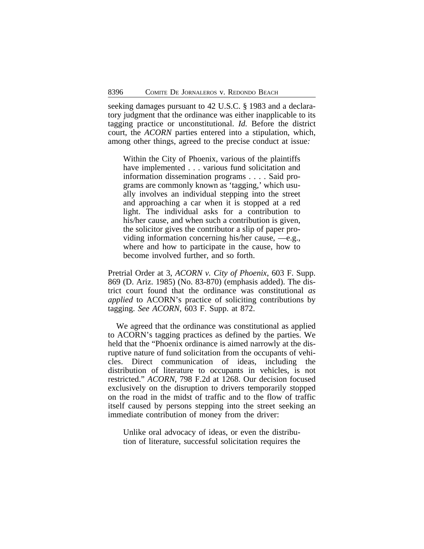seeking damages pursuant to 42 U.S.C. § 1983 and a declaratory judgment that the ordinance was either inapplicable to its tagging practice or unconstitutional. *Id.* Before the district court, the *ACORN* parties entered into a stipulation, which, among other things, agreed to the precise conduct at issue*:* 

Within the City of Phoenix, various of the plaintiffs have implemented . . . various fund solicitation and information dissemination programs . . . . Said programs are commonly known as 'tagging,' which usually involves an individual stepping into the street and approaching a car when it is stopped at a red light. The individual asks for a contribution to his/her cause, and when such a contribution is given, the solicitor gives the contributor a slip of paper providing information concerning his/her cause, —e.g., where and how to participate in the cause, how to become involved further, and so forth.

Pretrial Order at 3, *ACORN v. City of Phoenix*, 603 F. Supp. 869 (D. Ariz. 1985) (No. 83-870) (emphasis added). The district court found that the ordinance was constitutional *as applied* to ACORN's practice of soliciting contributions by tagging. *See ACORN*, 603 F. Supp. at 872.

We agreed that the ordinance was constitutional as applied to ACORN's tagging practices as defined by the parties. We held that the "Phoenix ordinance is aimed narrowly at the disruptive nature of fund solicitation from the occupants of vehicles. Direct communication of ideas, including the distribution of literature to occupants in vehicles, is not restricted." *ACORN*, 798 F.2d at 1268. Our decision focused exclusively on the disruption to drivers temporarily stopped on the road in the midst of traffic and to the flow of traffic itself caused by persons stepping into the street seeking an immediate contribution of money from the driver:

Unlike oral advocacy of ideas, or even the distribution of literature, successful solicitation requires the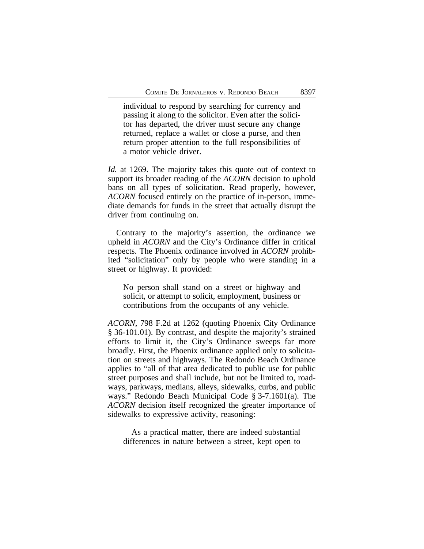individual to respond by searching for currency and passing it along to the solicitor. Even after the solicitor has departed, the driver must secure any change returned, replace a wallet or close a purse, and then return proper attention to the full responsibilities of a motor vehicle driver.

*Id.* at 1269. The majority takes this quote out of context to support its broader reading of the *ACORN* decision to uphold bans on all types of solicitation. Read properly, however, *ACORN* focused entirely on the practice of in-person, immediate demands for funds in the street that actually disrupt the driver from continuing on.

Contrary to the majority's assertion, the ordinance we upheld in *ACORN* and the City's Ordinance differ in critical respects. The Phoenix ordinance involved in *ACORN* prohibited "solicitation" only by people who were standing in a street or highway. It provided:

No person shall stand on a street or highway and solicit, or attempt to solicit, employment, business or contributions from the occupants of any vehicle.

*ACORN*, 798 F.2d at 1262 (quoting Phoenix City Ordinance § 36-101.01). By contrast, and despite the majority's strained efforts to limit it, the City's Ordinance sweeps far more broadly. First, the Phoenix ordinance applied only to solicitation on streets and highways. The Redondo Beach Ordinance applies to "all of that area dedicated to public use for public street purposes and shall include, but not be limited to, roadways, parkways, medians, alleys, sidewalks, curbs, and public ways." Redondo Beach Municipal Code § 3-7.1601(a). The *ACORN* decision itself recognized the greater importance of sidewalks to expressive activity, reasoning:

As a practical matter, there are indeed substantial differences in nature between a street, kept open to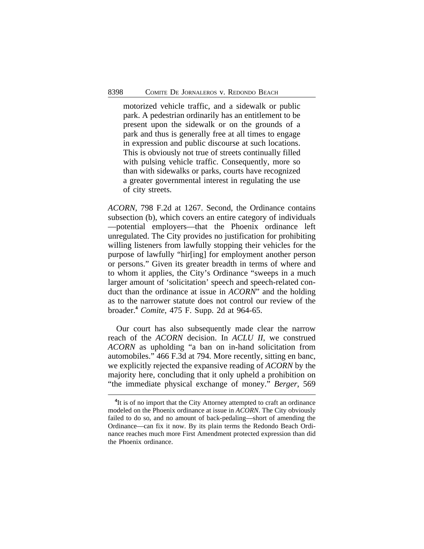motorized vehicle traffic, and a sidewalk or public park. A pedestrian ordinarily has an entitlement to be present upon the sidewalk or on the grounds of a park and thus is generally free at all times to engage in expression and public discourse at such locations. This is obviously not true of streets continually filled with pulsing vehicle traffic. Consequently, more so than with sidewalks or parks, courts have recognized a greater governmental interest in regulating the use of city streets.

*ACORN*, 798 F.2d at 1267. Second, the Ordinance contains subsection (b), which covers an entire category of individuals —potential employers—that the Phoenix ordinance left unregulated. The City provides no justification for prohibiting willing listeners from lawfully stopping their vehicles for the purpose of lawfully "hir[ing] for employment another person or persons." Given its greater breadth in terms of where and to whom it applies, the City's Ordinance "sweeps in a much larger amount of 'solicitation' speech and speech-related conduct than the ordinance at issue in *ACORN*" and the holding as to the narrower statute does not control our review of the broader.**<sup>4</sup>** *Comite*, 475 F. Supp. 2d at 964-65.

Our court has also subsequently made clear the narrow reach of the *ACORN* decision. In *ACLU II*, we construed *ACORN* as upholding "a ban on in-hand solicitation from automobiles." 466 F.3d at 794. More recently, sitting en banc, we explicitly rejected the expansive reading of *ACORN* by the majority here, concluding that it only upheld a prohibition on "the immediate physical exchange of money." *Berger*, 569

<sup>&</sup>lt;sup>4</sup>It is of no import that the City Attorney attempted to craft an ordinance modeled on the Phoenix ordinance at issue in *ACORN*. The City obviously failed to do so, and no amount of back-pedaling—short of amending the Ordinance—can fix it now. By its plain terms the Redondo Beach Ordinance reaches much more First Amendment protected expression than did the Phoenix ordinance.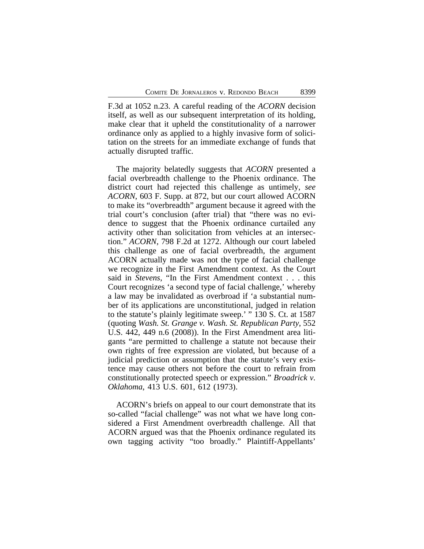F.3d at 1052 n.23. A careful reading of the *ACORN* decision itself, as well as our subsequent interpretation of its holding, make clear that it upheld the constitutionality of a narrower ordinance only as applied to a highly invasive form of solicitation on the streets for an immediate exchange of funds that actually disrupted traffic.

The majority belatedly suggests that *ACORN* presented a facial overbreadth challenge to the Phoenix ordinance. The district court had rejected this challenge as untimely, *see ACORN*, 603 F. Supp. at 872, but our court allowed ACORN to make its "overbreadth" argument because it agreed with the trial court's conclusion (after trial) that "there was no evidence to suggest that the Phoenix ordinance curtailed any activity other than solicitation from vehicles at an intersection." *ACORN*, 798 F.2d at 1272. Although our court labeled this challenge as one of facial overbreadth, the argument ACORN actually made was not the type of facial challenge we recognize in the First Amendment context. As the Court said in *Stevens*, "In the First Amendment context . . . this Court recognizes 'a second type of facial challenge,' whereby a law may be invalidated as overbroad if 'a substantial number of its applications are unconstitutional, judged in relation to the statute's plainly legitimate sweep.' " 130 S. Ct. at 1587 (quoting *Wash. St. Grange v. Wash. St. Republican Party*, 552 U.S. 442, 449 n.6 (2008)). In the First Amendment area litigants "are permitted to challenge a statute not because their own rights of free expression are violated, but because of a judicial prediction or assumption that the statute's very existence may cause others not before the court to refrain from constitutionally protected speech or expression." *Broadrick v. Oklahoma*, 413 U.S. 601, 612 (1973).

ACORN's briefs on appeal to our court demonstrate that its so-called "facial challenge" was not what we have long considered a First Amendment overbreadth challenge. All that ACORN argued was that the Phoenix ordinance regulated its own tagging activity "too broadly." Plaintiff-Appellants'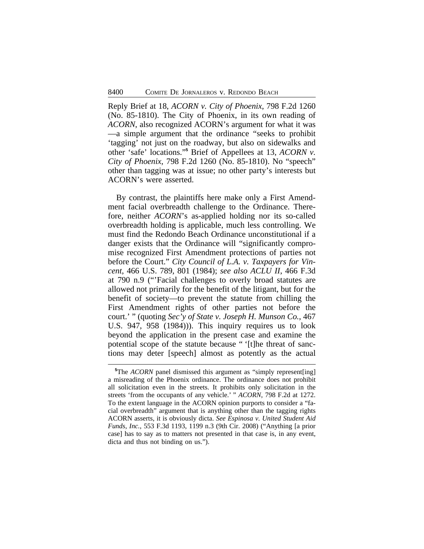Reply Brief at 18, *ACORN v. City of Phoenix*, 798 F.2d 1260 (No. 85-1810). The City of Phoenix, in its own reading of *ACORN*, also recognized ACORN's argument for what it was —a simple argument that the ordinance "seeks to prohibit 'tagging' not just on the roadway, but also on sidewalks and other 'safe' locations." **5** Brief of Appellees at 13, *ACORN v. City of Phoenix*, 798 F.2d 1260 (No. 85-1810). No "speech" other than tagging was at issue; no other party's interests but ACORN's were asserted.

By contrast, the plaintiffs here make only a First Amendment facial overbreadth challenge to the Ordinance. Therefore, neither *ACORN*'s as-applied holding nor its so-called overbreadth holding is applicable, much less controlling. We must find the Redondo Beach Ordinance unconstitutional if a danger exists that the Ordinance will "significantly compromise recognized First Amendment protections of parties not before the Court." *City Council of L.A. v. Taxpayers for Vincent*, 466 U.S. 789, 801 (1984); *see also ACLU II*, 466 F.3d at 790 n.9 ("'Facial challenges to overly broad statutes are allowed not primarily for the benefit of the litigant, but for the benefit of society—to prevent the statute from chilling the First Amendment rights of other parties not before the court.' " (quoting *Sec'y of State v. Joseph H. Munson Co.*, 467 U.S. 947, 958 (1984))). This inquiry requires us to look beyond the application in the present case and examine the potential scope of the statute because " '[t]he threat of sanctions may deter [speech] almost as potently as the actual

**<sup>5</sup>**The *ACORN* panel dismissed this argument as "simply represent[ing] a misreading of the Phoenix ordinance. The ordinance does not prohibit all solicitation even in the streets. It prohibits only solicitation in the streets 'from the occupants of any vehicle.' " *ACORN*, 798 F.2d at 1272. To the extent language in the ACORN opinion purports to consider a "facial overbreadth" argument that is anything other than the tagging rights ACORN asserts, it is obviously dicta. *See Espinosa v. United Student Aid Funds, Inc.*, 553 F.3d 1193, 1199 n.3 (9th Cir. 2008) ("Anything [a prior case] has to say as to matters not presented in that case is, in any event, dicta and thus not binding on us.").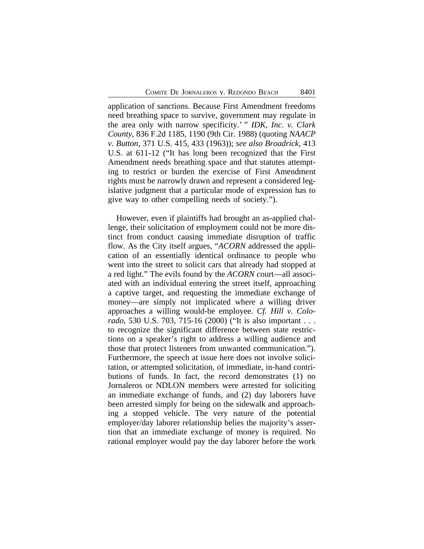application of sanctions. Because First Amendment freedoms need breathing space to survive, government may regulate in the area only with narrow specificity.' " *IDK, Inc. v. Clark County*, 836 F.2d 1185, 1190 (9th Cir. 1988) (quoting *NAACP v. Button*, 371 U.S. 415, 433 (1963)); *see also Broadrick*, 413 U.S. at 611-12 ("It has long been recognized that the First Amendment needs breathing space and that statutes attempting to restrict or burden the exercise of First Amendment rights must be narrowly drawn and represent a considered legislative judgment that a particular mode of expression has to give way to other compelling needs of society.").

However, even if plaintiffs had brought an as-applied challenge, their solicitation of employment could not be more distinct from conduct causing immediate disruption of traffic flow. As the City itself argues, "*ACORN* addressed the application of an essentially identical ordinance to people who went into the street to solicit cars that already had stopped at a red light." The evils found by the *ACORN* court—all associated with an individual entering the street itself, approaching a captive target, and requesting the immediate exchange of money—are simply not implicated where a willing driver approaches a willing would-be employee. *Cf. Hill v. Colorado*, 530 U.S. 703, 715-16 (2000) ("It is also important . . . to recognize the significant difference between state restrictions on a speaker's right to address a willing audience and those that protect listeners from unwanted communication."). Furthermore, the speech at issue here does not involve solicitation, or attempted solicitation, of immediate, in-hand contributions of funds. In fact, the record demonstrates (1) no Jornaleros or NDLON members were arrested for soliciting an immediate exchange of funds, and (2) day laborers have been arrested simply for being on the sidewalk and approaching a stopped vehicle. The very nature of the potential employer/day laborer relationship belies the majority's assertion that an immediate exchange of money is required. No rational employer would pay the day laborer before the work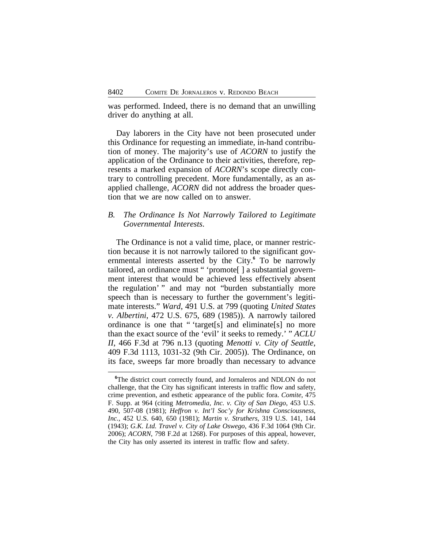was performed. Indeed, there is no demand that an unwilling driver do anything at all.

Day laborers in the City have not been prosecuted under this Ordinance for requesting an immediate, in-hand contribution of money. The majority's use of *ACORN* to justify the application of the Ordinance to their activities, therefore, represents a marked expansion of *ACORN*'s scope directly contrary to controlling precedent. More fundamentally, as an asapplied challenge, *ACORN* did not address the broader question that we are now called on to answer.

# *B. The Ordinance Is Not Narrowly Tailored to Legitimate Governmental Interests*.

The Ordinance is not a valid time, place, or manner restriction because it is not narrowly tailored to the significant governmental interests asserted by the City.**<sup>6</sup>** To be narrowly tailored, an ordinance must " 'promote[ ] a substantial government interest that would be achieved less effectively absent the regulation' " and may not "burden substantially more speech than is necessary to further the government's legitimate interests." *Ward*, 491 U.S. at 799 (quoting *United States v. Albertini*, 472 U.S. 675, 689 (1985)). A narrowly tailored ordinance is one that " 'target[s] and eliminate[s] no more than the exact source of the 'evil' it seeks to remedy.' " *ACLU II*, 466 F.3d at 796 n.13 (quoting *Menotti v. City of Seattle*, 409 F.3d 1113, 1031-32 (9th Cir. 2005)). The Ordinance, on its face, sweeps far more broadly than necessary to advance

<sup>&</sup>lt;sup>6</sup>The district court correctly found, and Jornaleros and NDLON do not challenge, that the City has significant interests in traffic flow and safety, crime prevention, and esthetic appearance of the public fora. *Comite*, 475 F. Supp. at 964 (citing *Metromedia, Inc. v. City of San Diego*, 453 U.S. 490, 507-08 (1981); *Heffron v. Int'l Soc'y for Krishna Consciousness, Inc.*, 452 U.S. 640, 650 (1981); *Martin v. Struthers*, 319 U.S. 141, 144 (1943); *G.K. Ltd. Travel v. City of Lake Oswego*, 436 F.3d 1064 (9th Cir. 2006); *ACORN*, 798 F.2d at 1268). For purposes of this appeal, however, the City has only asserted its interest in traffic flow and safety.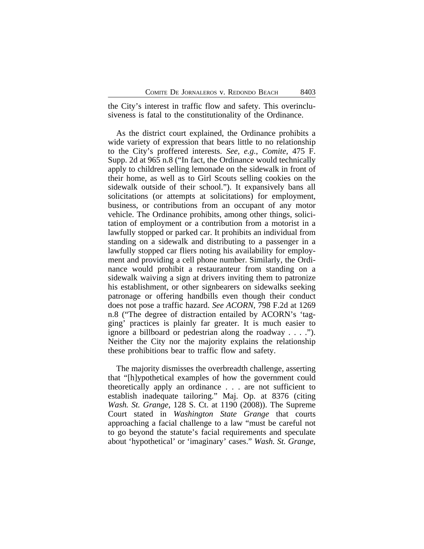the City's interest in traffic flow and safety. This overinclusiveness is fatal to the constitutionality of the Ordinance.

As the district court explained, the Ordinance prohibits a wide variety of expression that bears little to no relationship to the City's proffered interests. *See, e.g.*, *Comite*, 475 F. Supp. 2d at 965 n.8 ("In fact, the Ordinance would technically apply to children selling lemonade on the sidewalk in front of their home, as well as to Girl Scouts selling cookies on the sidewalk outside of their school."). It expansively bans all solicitations (or attempts at solicitations) for employment, business, or contributions from an occupant of any motor vehicle. The Ordinance prohibits, among other things, solicitation of employment or a contribution from a motorist in a lawfully stopped or parked car. It prohibits an individual from standing on a sidewalk and distributing to a passenger in a lawfully stopped car fliers noting his availability for employment and providing a cell phone number. Similarly, the Ordinance would prohibit a restauranteur from standing on a sidewalk waiving a sign at drivers inviting them to patronize his establishment, or other signbearers on sidewalks seeking patronage or offering handbills even though their conduct does not pose a traffic hazard. *See ACORN*, 798 F.2d at 1269 n.8 ("The degree of distraction entailed by ACORN's 'tagging' practices is plainly far greater. It is much easier to ignore a billboard or pedestrian along the roadway . . . ."). Neither the City nor the majority explains the relationship these prohibitions bear to traffic flow and safety.

The majority dismisses the overbreadth challenge, asserting that "[h]ypothetical examples of how the government could theoretically apply an ordinance . . . are not sufficient to establish inadequate tailoring." Maj. Op. at 8376 (citing *Wash. St. Grange*, 128 S. Ct. at 1190 (2008)). The Supreme Court stated in *Washington State Grange* that courts approaching a facial challenge to a law "must be careful not to go beyond the statute's facial requirements and speculate about 'hypothetical' or 'imaginary' cases." *Wash. St. Grange*,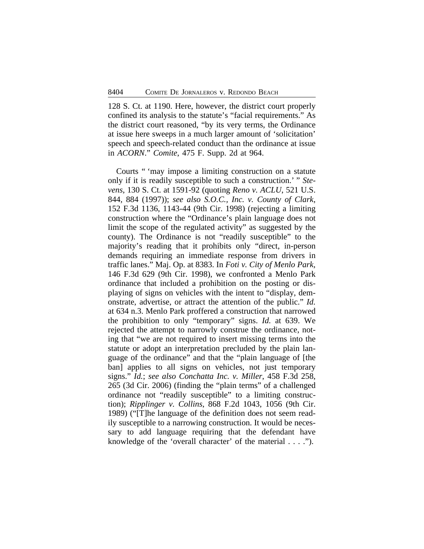128 S. Ct. at 1190. Here, however, the district court properly confined its analysis to the statute's "facial requirements." As the district court reasoned, "by its very terms, the Ordinance at issue here sweeps in a much larger amount of 'solicitation' speech and speech-related conduct than the ordinance at issue in *ACORN*." *Comite*, 475 F. Supp. 2d at 964.

Courts " 'may impose a limiting construction on a statute only if it is readily susceptible to such a construction.' " *Stevens*, 130 S. Ct. at 1591-92 (quoting *Reno v. ACLU*, 521 U.S. 844, 884 (1997)); *see also S.O.C., Inc. v. County of Clark*, 152 F.3d 1136, 1143-44 (9th Cir. 1998) (rejecting a limiting construction where the "Ordinance's plain language does not limit the scope of the regulated activity" as suggested by the county). The Ordinance is not "readily susceptible" to the majority's reading that it prohibits only "direct, in-person demands requiring an immediate response from drivers in traffic lanes." Maj. Op. at 8383. In *Foti v. City of Menlo Park*, 146 F.3d 629 (9th Cir. 1998), we confronted a Menlo Park ordinance that included a prohibition on the posting or displaying of signs on vehicles with the intent to "display, demonstrate, advertise, or attract the attention of the public." *Id.* at 634 n.3. Menlo Park proffered a construction that narrowed the prohibition to only "temporary" signs. *Id.* at 639. We rejected the attempt to narrowly construe the ordinance, noting that "we are not required to insert missing terms into the statute or adopt an interpretation precluded by the plain language of the ordinance" and that the "plain language of [the ban] applies to all signs on vehicles, not just temporary signs." *Id.*; *see also Conchatta Inc. v. Miller*, 458 F.3d 258, 265 (3d Cir. 2006) (finding the "plain terms" of a challenged ordinance not "readily susceptible" to a limiting construction); *Ripplinger v. Collins*, 868 F.2d 1043, 1056 (9th Cir. 1989) ("[T]he language of the definition does not seem readily susceptible to a narrowing construction. It would be necessary to add language requiring that the defendant have knowledge of the 'overall character' of the material . . . .").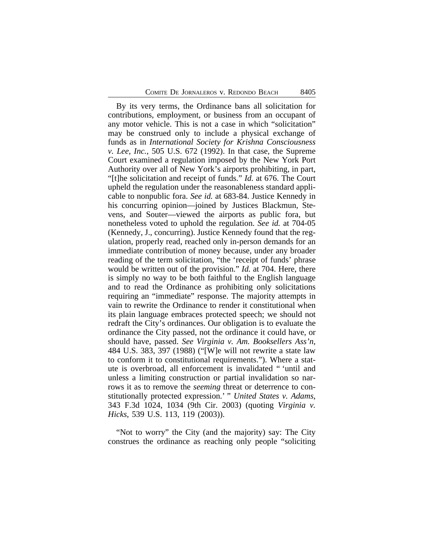By its very terms, the Ordinance bans all solicitation for contributions, employment, or business from an occupant of any motor vehicle. This is not a case in which "solicitation" may be construed only to include a physical exchange of funds as in *International Society for Krishna Consciousness v. Lee, Inc.*, 505 U.S. 672 (1992). In that case, the Supreme Court examined a regulation imposed by the New York Port Authority over all of New York's airports prohibiting, in part, "[t]he solicitation and receipt of funds." *Id.* at 676. The Court upheld the regulation under the reasonableness standard applicable to nonpublic fora. *See id.* at 683-84. Justice Kennedy in his concurring opinion—joined by Justices Blackmun, Stevens, and Souter—viewed the airports as public fora, but nonetheless voted to uphold the regulation. *See id.* at 704-05 (Kennedy, J., concurring). Justice Kennedy found that the regulation, properly read, reached only in-person demands for an immediate contribution of money because, under any broader reading of the term solicitation, "the 'receipt of funds' phrase would be written out of the provision." *Id.* at 704. Here, there is simply no way to be both faithful to the English language and to read the Ordinance as prohibiting only solicitations requiring an "immediate" response. The majority attempts in vain to rewrite the Ordinance to render it constitutional when its plain language embraces protected speech; we should not redraft the City's ordinances. Our obligation is to evaluate the ordinance the City passed, not the ordinance it could have, or should have, passed. *See Virginia v. Am. Booksellers Ass'n*, 484 U.S. 383, 397 (1988) ("[W]e will not rewrite a state law to conform it to constitutional requirements."). Where a statute is overbroad, all enforcement is invalidated " 'until and unless a limiting construction or partial invalidation so narrows it as to remove the *seeming* threat or deterrence to constitutionally protected expression.' " *United States v. Adams*, 343 F.3d 1024, 1034 (9th Cir. 2003) (quoting *Virginia v. Hicks*, 539 U.S. 113, 119 (2003)).

"Not to worry" the City (and the majority) say: The City construes the ordinance as reaching only people "soliciting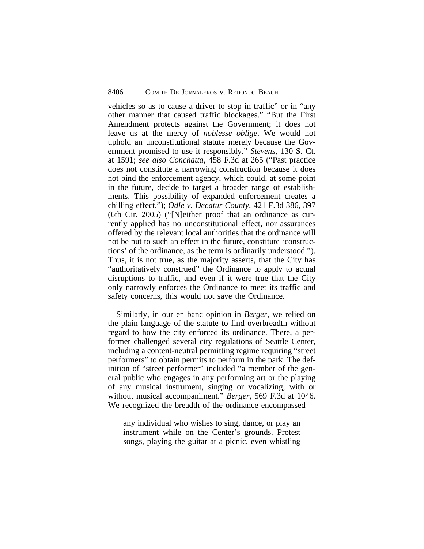vehicles so as to cause a driver to stop in traffic" or in "any other manner that caused traffic blockages." "But the First Amendment protects against the Government; it does not leave us at the mercy of *noblesse oblige*. We would not uphold an unconstitutional statute merely because the Government promised to use it responsibly." *Stevens*, 130 S. Ct. at 1591; *see also Conchatta*, 458 F.3d at 265 ("Past practice does not constitute a narrowing construction because it does not bind the enforcement agency, which could, at some point in the future, decide to target a broader range of establishments. This possibility of expanded enforcement creates a chilling effect."); *Odle v. Decatur County*, 421 F.3d 386, 397 (6th Cir. 2005) ("[N]either proof that an ordinance as currently applied has no unconstitutional effect, nor assurances offered by the relevant local authorities that the ordinance will not be put to such an effect in the future, constitute 'constructions' of the ordinance, as the term is ordinarily understood."). Thus, it is not true, as the majority asserts, that the City has "authoritatively construed" the Ordinance to apply to actual disruptions to traffic, and even if it were true that the City only narrowly enforces the Ordinance to meet its traffic and safety concerns, this would not save the Ordinance.

Similarly, in our en banc opinion in *Berger*, we relied on the plain language of the statute to find overbreadth without regard to how the city enforced its ordinance. There, a performer challenged several city regulations of Seattle Center, including a content-neutral permitting regime requiring "street performers" to obtain permits to perform in the park. The definition of "street performer" included "a member of the general public who engages in any performing art or the playing of any musical instrument, singing or vocalizing, with or without musical accompaniment." *Berger*, 569 F.3d at 1046. We recognized the breadth of the ordinance encompassed

any individual who wishes to sing, dance, or play an instrument while on the Center's grounds. Protest songs, playing the guitar at a picnic, even whistling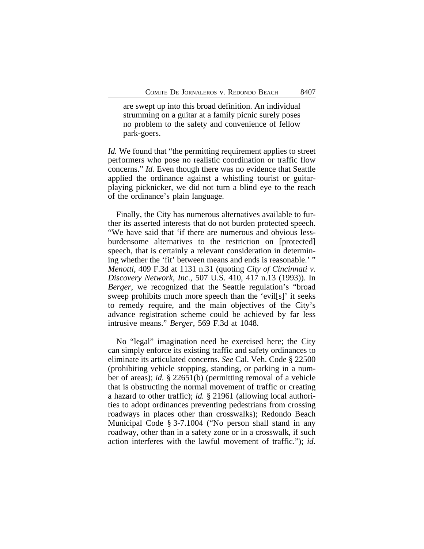are swept up into this broad definition. An individual strumming on a guitar at a family picnic surely poses no problem to the safety and convenience of fellow park-goers.

*Id.* We found that "the permitting requirement applies to street performers who pose no realistic coordination or traffic flow concerns." *Id.* Even though there was no evidence that Seattle applied the ordinance against a whistling tourist or guitarplaying picknicker, we did not turn a blind eye to the reach of the ordinance's plain language.

Finally, the City has numerous alternatives available to further its asserted interests that do not burden protected speech. "We have said that 'if there are numerous and obvious lessburdensome alternatives to the restriction on [protected] speech, that is certainly a relevant consideration in determining whether the 'fit' between means and ends is reasonable.' " *Menotti*, 409 F.3d at 1131 n.31 (quoting *City of Cincinnati v. Discovery Network, Inc.*, 507 U.S. 410, 417 n.13 (1993)). In *Berger*, we recognized that the Seattle regulation's "broad sweep prohibits much more speech than the 'evil[s]' it seeks to remedy require, and the main objectives of the City's advance registration scheme could be achieved by far less intrusive means." *Berger*, 569 F.3d at 1048.

No "legal" imagination need be exercised here; the City can simply enforce its existing traffic and safety ordinances to eliminate its articulated concerns. *See* Cal. Veh. Code § 22500 (prohibiting vehicle stopping, standing, or parking in a number of areas); *id.* § 22651(b) (permitting removal of a vehicle that is obstructing the normal movement of traffic or creating a hazard to other traffic); *id.* § 21961 (allowing local authorities to adopt ordinances preventing pedestrians from crossing roadways in places other than crosswalks); Redondo Beach Municipal Code § 3-7.1004 ("No person shall stand in any roadway, other than in a safety zone or in a crosswalk, if such action interferes with the lawful movement of traffic."); *id.*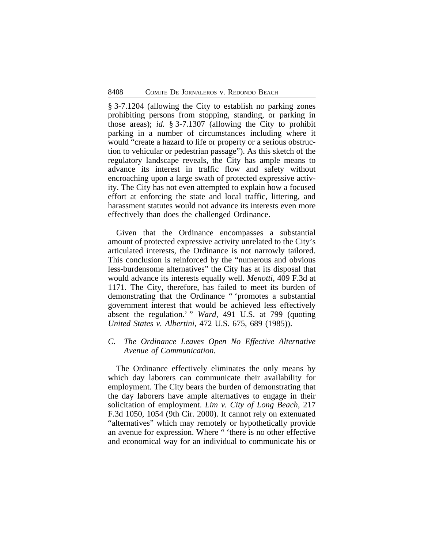§ 3-7.1204 (allowing the City to establish no parking zones prohibiting persons from stopping, standing, or parking in those areas); *id.* § 3-7.1307 (allowing the City to prohibit parking in a number of circumstances including where it would "create a hazard to life or property or a serious obstruction to vehicular or pedestrian passage"). As this sketch of the regulatory landscape reveals, the City has ample means to advance its interest in traffic flow and safety without encroaching upon a large swath of protected expressive activity. The City has not even attempted to explain how a focused effort at enforcing the state and local traffic, littering, and harassment statutes would not advance its interests even more effectively than does the challenged Ordinance.

Given that the Ordinance encompasses a substantial amount of protected expressive activity unrelated to the City's articulated interests, the Ordinance is not narrowly tailored. This conclusion is reinforced by the "numerous and obvious less-burdensome alternatives" the City has at its disposal that would advance its interests equally well. *Menotti*, 409 F.3d at 1171. The City, therefore, has failed to meet its burden of demonstrating that the Ordinance " 'promotes a substantial government interest that would be achieved less effectively absent the regulation.' " *Ward*, 491 U.S. at 799 (quoting *United States v. Albertini*, 472 U.S. 675, 689 (1985)).

# *C. The Ordinance Leaves Open No Effective Alternative Avenue of Communication.*

The Ordinance effectively eliminates the only means by which day laborers can communicate their availability for employment. The City bears the burden of demonstrating that the day laborers have ample alternatives to engage in their solicitation of employment. *Lim v. City of Long Beach*, 217 F.3d 1050, 1054 (9th Cir. 2000). It cannot rely on extenuated "alternatives" which may remotely or hypothetically provide an avenue for expression. Where " 'there is no other effective and economical way for an individual to communicate his or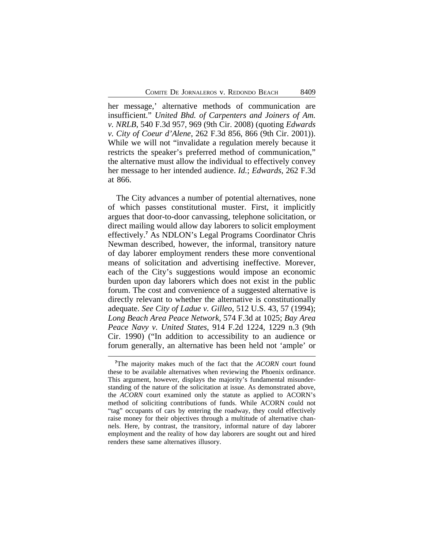her message,' alternative methods of communication are insufficient." *United Bhd. of Carpenters and Joiners of Am. v. NRLB*, 540 F.3d 957, 969 (9th Cir. 2008) (quoting *Edwards v. City of Coeur d'Alene*, 262 F.3d 856, 866 (9th Cir. 2001)). While we will not "invalidate a regulation merely because it restricts the speaker's preferred method of communication," the alternative must allow the individual to effectively convey her message to her intended audience. *Id.*; *Edwards*, 262 F.3d at 866.

The City advances a number of potential alternatives, none of which passes constitutional muster. First, it implicitly argues that door-to-door canvassing, telephone solicitation, or direct mailing would allow day laborers to solicit employment effectively.**<sup>7</sup>** As NDLON's Legal Programs Coordinator Chris Newman described, however, the informal, transitory nature of day laborer employment renders these more conventional means of solicitation and advertising ineffective. Morever, each of the City's suggestions would impose an economic burden upon day laborers which does not exist in the public forum. The cost and convenience of a suggested alternative is directly relevant to whether the alternative is constitutionally adequate. *See City of Ladue v. Gilleo*, 512 U.S. 43, 57 (1994); *Long Beach Area Peace Network*, 574 F.3d at 1025; *Bay Area Peace Navy v. United States*, 914 F.2d 1224, 1229 n.3 (9th Cir. 1990) ("In addition to accessibility to an audience or forum generally, an alternative has been held not 'ample' or

**<sup>7</sup>**The majority makes much of the fact that the *ACORN* court found these to be available alternatives when reviewing the Phoenix ordinance. This argument, however, displays the majority's fundamental misunderstanding of the nature of the solicitation at issue. As demonstrated above, the *ACORN* court examined only the statute as applied to ACORN's method of soliciting contributions of funds. While ACORN could not "tag" occupants of cars by entering the roadway, they could effectively raise money for their objectives through a multitude of alternative channels. Here, by contrast, the transitory, informal nature of day laborer employment and the reality of how day laborers are sought out and hired renders these same alternatives illusory.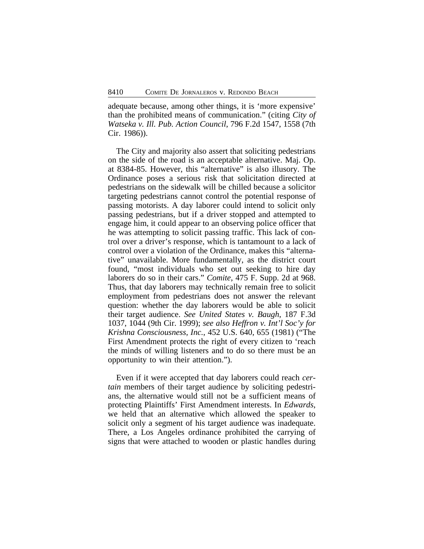adequate because, among other things, it is 'more expensive' than the prohibited means of communication." (citing *City of Watseka v. Ill. Pub. Action Council*, 796 F.2d 1547, 1558 (7th Cir. 1986)).

The City and majority also assert that soliciting pedestrians on the side of the road is an acceptable alternative. Maj. Op. at 8384-85. However, this "alternative" is also illusory. The Ordinance poses a serious risk that solicitation directed at pedestrians on the sidewalk will be chilled because a solicitor targeting pedestrians cannot control the potential response of passing motorists. A day laborer could intend to solicit only passing pedestrians, but if a driver stopped and attempted to engage him, it could appear to an observing police officer that he was attempting to solicit passing traffic. This lack of control over a driver's response, which is tantamount to a lack of control over a violation of the Ordinance, makes this "alternative" unavailable. More fundamentally, as the district court found, "most individuals who set out seeking to hire day laborers do so in their cars." *Comite*, 475 F. Supp. 2d at 968. Thus, that day laborers may technically remain free to solicit employment from pedestrians does not answer the relevant question: whether the day laborers would be able to solicit their target audience. *See United States v. Baugh*, 187 F.3d 1037, 1044 (9th Cir. 1999); *see also Heffron v. Int'l Soc'y for Krishna Consciousness, Inc.*, 452 U.S. 640, 655 (1981) ("The First Amendment protects the right of every citizen to 'reach the minds of willing listeners and to do so there must be an opportunity to win their attention.").

Even if it were accepted that day laborers could reach *certain* members of their target audience by soliciting pedestrians, the alternative would still not be a sufficient means of protecting Plaintiffs' First Amendment interests. In *Edwards*, we held that an alternative which allowed the speaker to solicit only a segment of his target audience was inadequate. There, a Los Angeles ordinance prohibited the carrying of signs that were attached to wooden or plastic handles during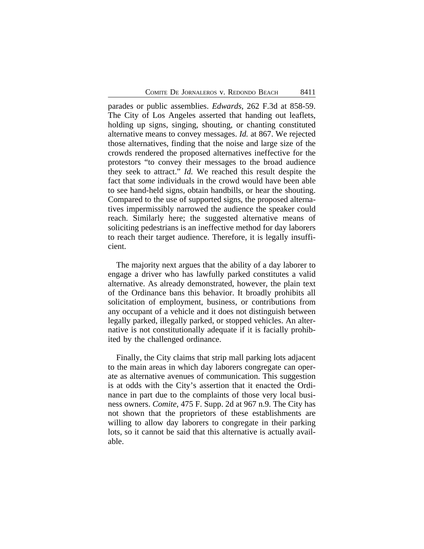parades or public assemblies. *Edwards*, 262 F.3d at 858-59. The City of Los Angeles asserted that handing out leaflets, holding up signs, singing, shouting, or chanting constituted alternative means to convey messages. *Id.* at 867. We rejected those alternatives, finding that the noise and large size of the crowds rendered the proposed alternatives ineffective for the protestors "to convey their messages to the broad audience they seek to attract." *Id.* We reached this result despite the fact that *some* individuals in the crowd would have been able to see hand-held signs, obtain handbills, or hear the shouting. Compared to the use of supported signs, the proposed alternatives impermissibly narrowed the audience the speaker could reach. Similarly here; the suggested alternative means of soliciting pedestrians is an ineffective method for day laborers to reach their target audience. Therefore, it is legally insufficient.

The majority next argues that the ability of a day laborer to engage a driver who has lawfully parked constitutes a valid alternative. As already demonstrated, however, the plain text of the Ordinance bans this behavior. It broadly prohibits all solicitation of employment, business, or contributions from any occupant of a vehicle and it does not distinguish between legally parked, illegally parked, or stopped vehicles. An alternative is not constitutionally adequate if it is facially prohibited by the challenged ordinance.

Finally, the City claims that strip mall parking lots adjacent to the main areas in which day laborers congregate can operate as alternative avenues of communication. This suggestion is at odds with the City's assertion that it enacted the Ordinance in part due to the complaints of those very local business owners. *Comite*, 475 F. Supp. 2d at 967 n.9. The City has not shown that the proprietors of these establishments are willing to allow day laborers to congregate in their parking lots, so it cannot be said that this alternative is actually available.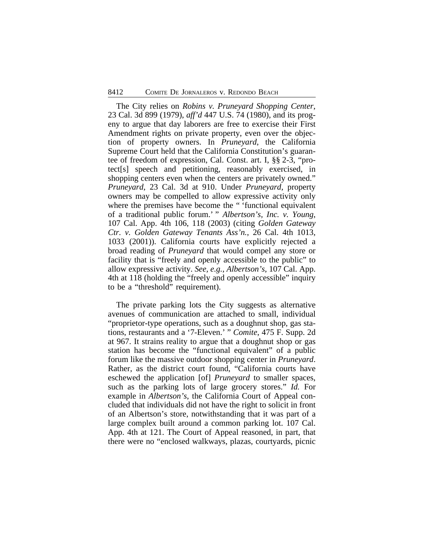### 8412 COMITE DE JORNALEROS v. REDONDO BEACH

The City relies on *Robins v. Pruneyard Shopping Center*, 23 Cal. 3d 899 (1979), *aff'd* 447 U.S. 74 (1980), and its progeny to argue that day laborers are free to exercise their First Amendment rights on private property, even over the objection of property owners. In *Pruneyard*, the California Supreme Court held that the California Constitution's guarantee of freedom of expression, Cal. Const. art. I, §§ 2-3, "protect[s] speech and petitioning, reasonably exercised, in shopping centers even when the centers are privately owned." *Pruneyard*, 23 Cal. 3d at 910. Under *Pruneyard*, property owners may be compelled to allow expressive activity only where the premises have become the " 'functional equivalent of a traditional public forum.' " *Albertson's, Inc. v. Young*, 107 Cal. App. 4th 106, 118 (2003) (citing *Golden Gateway Ctr. v. Golden Gateway Tenants Ass'n.*, 26 Cal. 4th 1013, 1033 (2001)). California courts have explicitly rejected a broad reading of *Pruneyard* that would compel any store or facility that is "freely and openly accessible to the public" to allow expressive activity. *See, e.g.*, *Albertson's*, 107 Cal. App. 4th at 118 (holding the "freely and openly accessible" inquiry to be a "threshold" requirement).

The private parking lots the City suggests as alternative avenues of communication are attached to small, individual "proprietor-type operations, such as a doughnut shop, gas stations, restaurants and a '7-Eleven.' " *Comite*, 475 F. Supp. 2d at 967. It strains reality to argue that a doughnut shop or gas station has become the "functional equivalent" of a public forum like the massive outdoor shopping center in *Pruneyard*. Rather, as the district court found, "California courts have eschewed the application [of] *Pruneyard* to smaller spaces, such as the parking lots of large grocery stores." *Id.* For example in *Albertson's*, the California Court of Appeal concluded that individuals did not have the right to solicit in front of an Albertson's store, notwithstanding that it was part of a large complex built around a common parking lot. 107 Cal. App. 4th at 121. The Court of Appeal reasoned, in part, that there were no "enclosed walkways, plazas, courtyards, picnic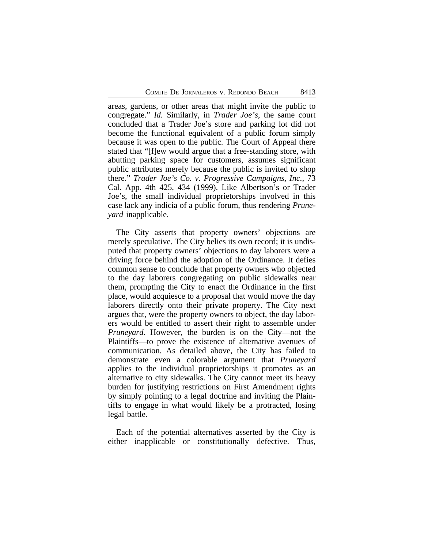areas, gardens, or other areas that might invite the public to congregate." *Id.* Similarly, in *Trader Joe's*, the same court concluded that a Trader Joe's store and parking lot did not become the functional equivalent of a public forum simply because it was open to the public. The Court of Appeal there stated that "[f]ew would argue that a free-standing store, with abutting parking space for customers, assumes significant public attributes merely because the public is invited to shop there." *Trader Joe's Co. v. Progressive Campaigns, Inc.*, 73 Cal. App. 4th 425, 434 (1999). Like Albertson's or Trader Joe's, the small individual proprietorships involved in this case lack any indicia of a public forum, thus rendering *Pruneyard* inapplicable.

The City asserts that property owners' objections are merely speculative. The City belies its own record; it is undisputed that property owners' objections to day laborers were a driving force behind the adoption of the Ordinance. It defies common sense to conclude that property owners who objected to the day laborers congregating on public sidewalks near them, prompting the City to enact the Ordinance in the first place, would acquiesce to a proposal that would move the day laborers directly onto their private property. The City next argues that, were the property owners to object, the day laborers would be entitled to assert their right to assemble under *Pruneyard*. However, the burden is on the City—not the Plaintiffs—to prove the existence of alternative avenues of communication. As detailed above, the City has failed to demonstrate even a colorable argument that *Pruneyard* applies to the individual proprietorships it promotes as an alternative to city sidewalks. The City cannot meet its heavy burden for justifying restrictions on First Amendment rights by simply pointing to a legal doctrine and inviting the Plaintiffs to engage in what would likely be a protracted, losing legal battle.

Each of the potential alternatives asserted by the City is either inapplicable or constitutionally defective. Thus,